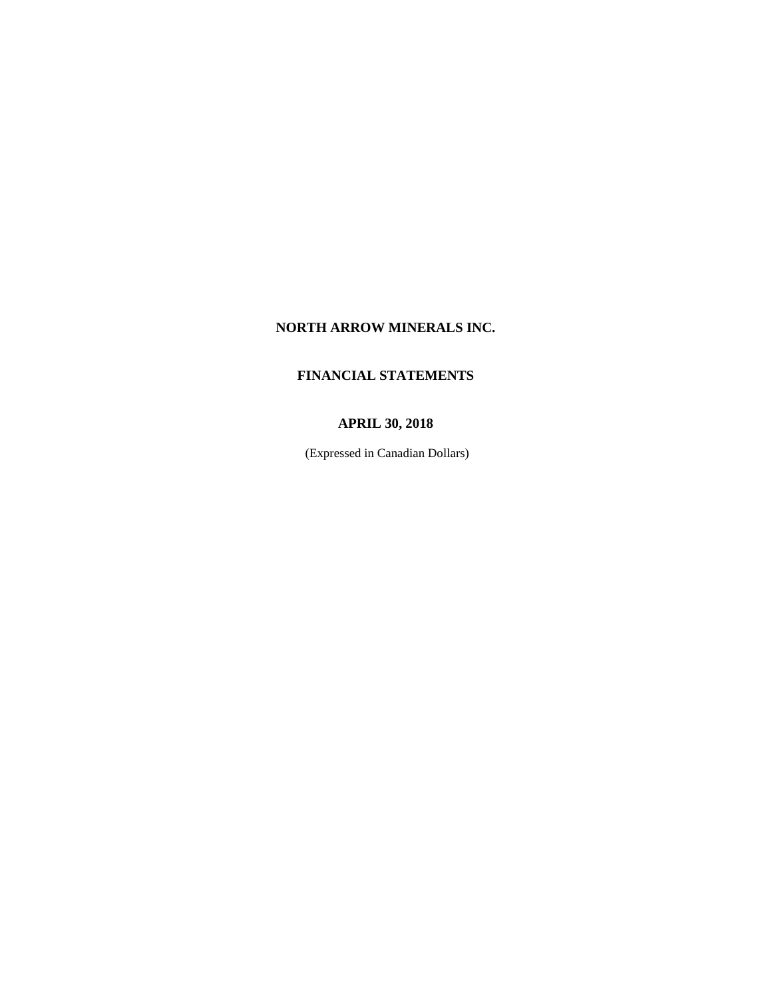# **NORTH ARROW MINERALS INC.**

# **FINANCIAL STATEMENTS**

# **APRIL 30, 2018**

(Expressed in Canadian Dollars)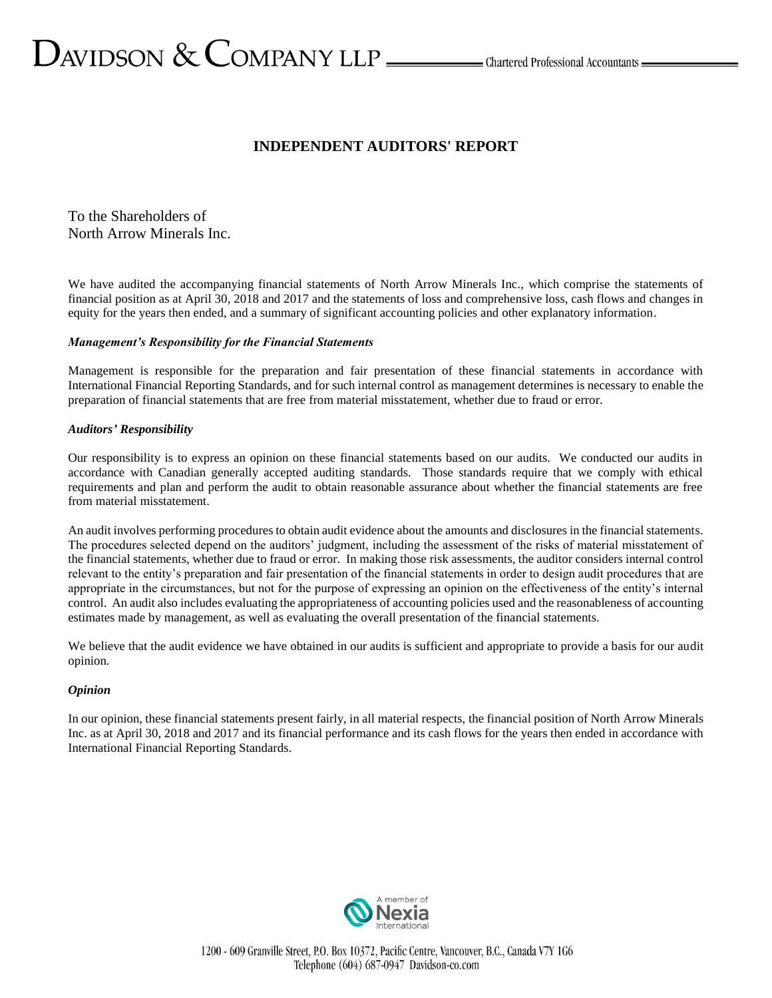# $D_{\text{AVIDSON}} \ \& \ \text{COMPANY LLP} \xrightarrow{\hspace{0.5cm}}$ Chartered Professional Accountants —

# **INDEPENDENT AUDITORS' REPORT**

To the Shareholders of North Arrow Minerals Inc.

We have audited the accompanying financial statements of North Arrow Minerals Inc., which comprise the statements of financial position as at April 30, 2018 and 2017 and the statements of loss and comprehensive loss, cash flows and changes in equity for the years then ended, and a summary of significant accounting policies and other explanatory information.

# *Management's Responsibility for the Financial Statements*

Management is responsible for the preparation and fair presentation of these financial statements in accordance with International Financial Reporting Standards, and for such internal control as management determines is necessary to enable the preparation of financial statements that are free from material misstatement, whether due to fraud or error.

# *Auditors' Responsibility*

Our responsibility is to express an opinion on these financial statements based on our audits. We conducted our audits in accordance with Canadian generally accepted auditing standards. Those standards require that we comply with ethical requirements and plan and perform the audit to obtain reasonable assurance about whether the financial statements are free from material misstatement.

An audit involves performing procedures to obtain audit evidence about the amounts and disclosures in the financial statements. The procedures selected depend on the auditors' judgment, including the assessment of the risks of material misstatement of the financial statements, whether due to fraud or error. In making those risk assessments, the auditor considers internal control relevant to the entity's preparation and fair presentation of the financial statements in order to design audit procedures that are appropriate in the circumstances, but not for the purpose of expressing an opinion on the effectiveness of the entity's internal control. An audit also includes evaluating the appropriateness of accounting policies used and the reasonableness of accounting estimates made by management, as well as evaluating the overall presentation of the financial statements.

We believe that the audit evidence we have obtained in our audits is sufficient and appropriate to provide a basis for our audit opinion.

# *Opinion*

In our opinion, these financial statements present fairly, in all material respects, the financial position of North Arrow Minerals Inc. as at April 30, 2018 and 2017 and its financial performance and its cash flows for the years then ended in accordance with International Financial Reporting Standards.



1200 - 609 Granville Street, P.O. Box 10372, Pacific Centre, Vancouver, B.C., Canada V7Y 1G6 Telephone (604) 687-0947 Davidson-co.com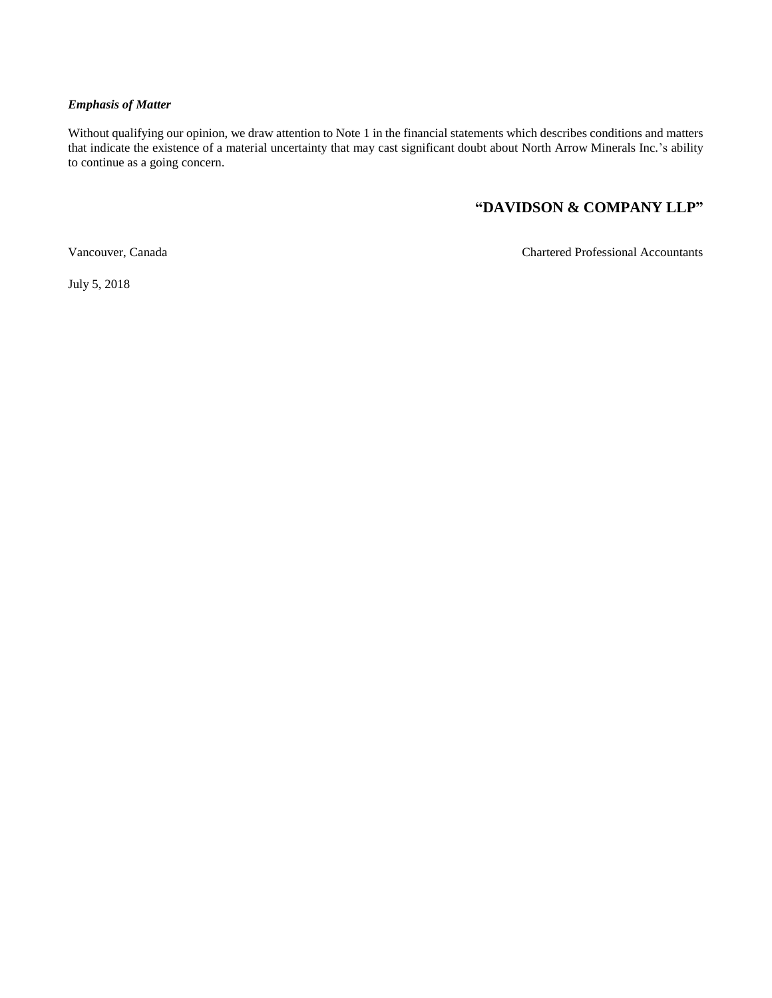# *Emphasis of Matter*

Without qualifying our opinion, we draw attention to Note 1 in the financial statements which describes conditions and matters that indicate the existence of a material uncertainty that may cast significant doubt about North Arrow Minerals Inc.'s ability to continue as a going concern.

# **"DAVIDSON & COMPANY LLP"**

Vancouver, Canada Chartered Professional Accountants

July 5, 2018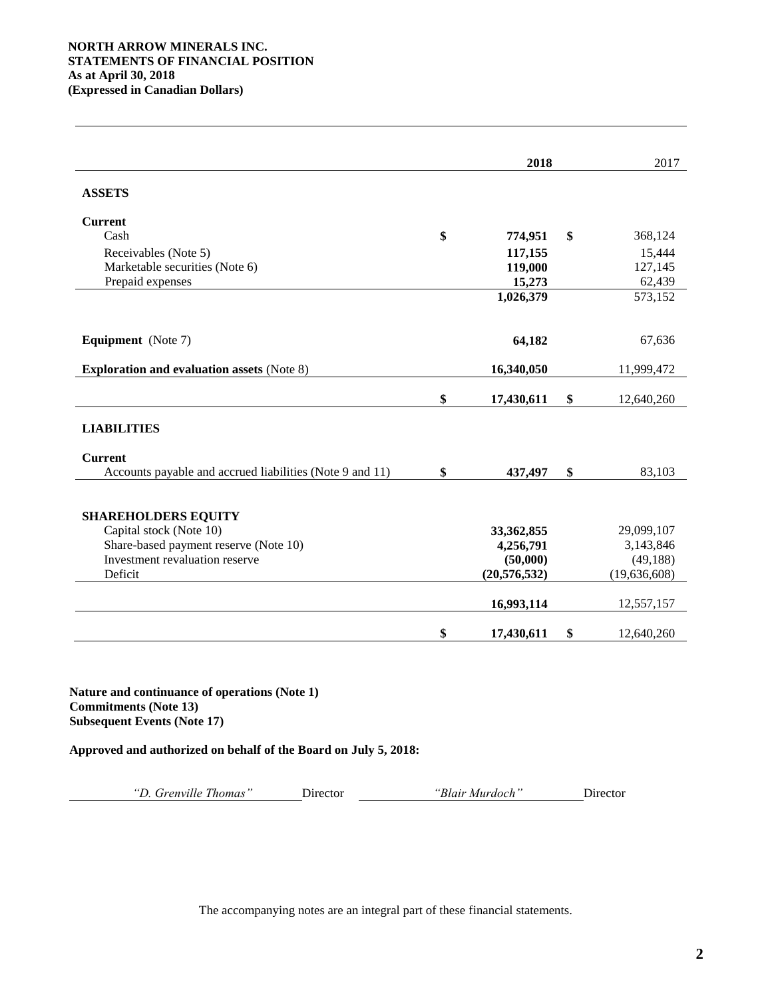|                                                          | 2018             | 2017             |
|----------------------------------------------------------|------------------|------------------|
| <b>ASSETS</b>                                            |                  |                  |
| <b>Current</b>                                           |                  |                  |
| Cash                                                     | \$<br>774,951    | \$<br>368,124    |
| Receivables (Note 5)                                     | 117,155          | 15,444           |
| Marketable securities (Note 6)                           | 119,000          | 127,145          |
| Prepaid expenses                                         | 15,273           | 62,439           |
|                                                          | 1,026,379        | 573,152          |
| <b>Equipment</b> (Note 7)                                | 64,182           | 67,636           |
| <b>Exploration and evaluation assets (Note 8)</b>        | 16,340,050       | 11,999,472       |
|                                                          | \$<br>17,430,611 | \$<br>12,640,260 |
| <b>LIABILITIES</b>                                       |                  |                  |
| <b>Current</b>                                           |                  |                  |
| Accounts payable and accrued liabilities (Note 9 and 11) | \$<br>437,497    | \$<br>83,103     |
| <b>SHAREHOLDERS EQUITY</b>                               |                  |                  |
| Capital stock (Note 10)                                  | 33,362,855       | 29,099,107       |
| Share-based payment reserve (Note 10)                    | 4,256,791        | 3,143,846        |
| Investment revaluation reserve                           | (50,000)         | (49, 188)        |
| Deficit                                                  | (20, 576, 532)   | (19, 636, 608)   |
|                                                          |                  |                  |
|                                                          | 16,993,114       | 12,557,157       |
|                                                          | \$<br>17,430,611 | \$<br>12,640,260 |

**Nature and continuance of operations (Note 1) Commitments (Note 13) Subsequent Events (Note 17)**

**Approved and authorized on behalf of the Board on July 5, 2018:**

| . Grenville Thomas' | Jirector | "Blair Murdoch' | Director |
|---------------------|----------|-----------------|----------|
|                     |          |                 |          |

The accompanying notes are an integral part of these financial statements.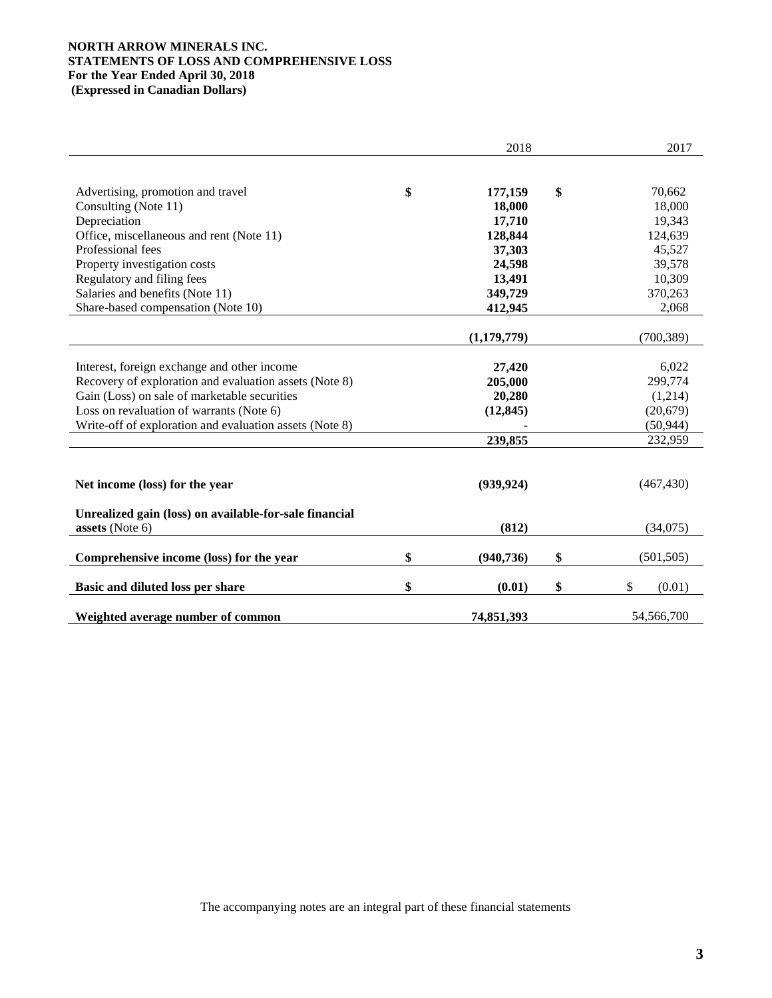# **NORTH ARROW MINERALS INC. STATEMENTS OF LOSS AND COMPREHENSIVE LOSS For the Year Ended April 30, 2018 (Expressed in Canadian Dollars)**

|                                                                                                       | 2018              | 2017               |
|-------------------------------------------------------------------------------------------------------|-------------------|--------------------|
|                                                                                                       |                   |                    |
| Advertising, promotion and travel                                                                     | \$<br>177,159     | \$<br>70,662       |
| Consulting (Note 11)                                                                                  | 18,000            | 18,000             |
| Depreciation                                                                                          | 17,710            | 19,343             |
| Office, miscellaneous and rent (Note 11)                                                              | 128,844           | 124,639            |
| Professional fees                                                                                     | 37,303            | 45,527             |
| Property investigation costs                                                                          | 24,598            | 39,578             |
| Regulatory and filing fees                                                                            | 13,491            | 10,309             |
| Salaries and benefits (Note 11)                                                                       | 349,729           | 370,263            |
| Share-based compensation (Note 10)                                                                    | 412,945           | 2,068              |
|                                                                                                       |                   |                    |
|                                                                                                       | (1,179,779)       | (700, 389)         |
|                                                                                                       |                   | 6,022              |
| Interest, foreign exchange and other income<br>Recovery of exploration and evaluation assets (Note 8) | 27,420<br>205,000 | 299,774            |
| Gain (Loss) on sale of marketable securities                                                          | 20,280            | (1,214)            |
| Loss on revaluation of warrants (Note 6)                                                              | (12, 845)         | (20, 679)          |
| Write-off of exploration and evaluation assets (Note 8)                                               |                   | (50, 944)          |
|                                                                                                       | 239,855           | 232,959            |
|                                                                                                       |                   |                    |
|                                                                                                       |                   |                    |
| Net income (loss) for the year                                                                        | (939, 924)        | (467, 430)         |
|                                                                                                       |                   |                    |
| Unrealized gain (loss) on available-for-sale financial                                                |                   |                    |
| assets (Note 6)                                                                                       | (812)             | (34,075)           |
|                                                                                                       |                   |                    |
| Comprehensive income (loss) for the year                                                              | \$<br>(940, 736)  | \$<br>(501, 505)   |
| Basic and diluted loss per share                                                                      | \$<br>(0.01)      | \$<br>\$<br>(0.01) |
|                                                                                                       |                   |                    |
| Weighted average number of common                                                                     | 74,851,393        | 54,566,700         |

The accompanying notes are an integral part of these financial statements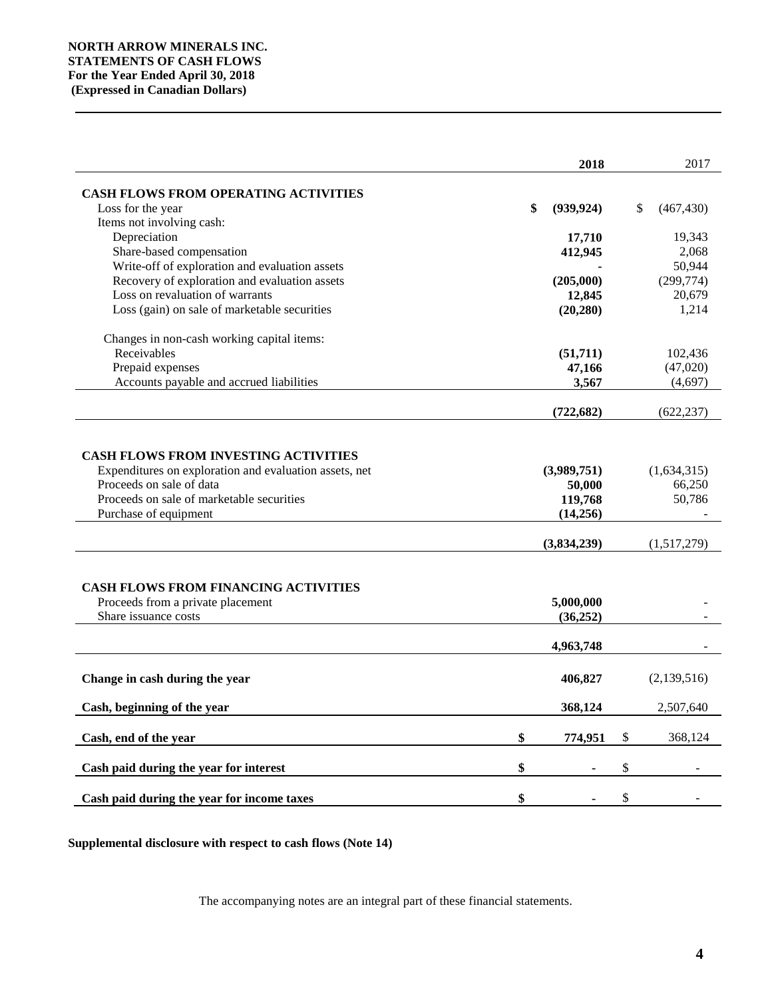|                                                        | 2018             |                           | 2017             |
|--------------------------------------------------------|------------------|---------------------------|------------------|
|                                                        |                  |                           |                  |
| <b>CASH FLOWS FROM OPERATING ACTIVITIES</b>            |                  |                           |                  |
| Loss for the year                                      | \$<br>(939, 924) |                           | (467, 430)<br>\$ |
| Items not involving cash:                              |                  |                           |                  |
| Depreciation                                           | 17,710           |                           | 19,343           |
| Share-based compensation                               | 412,945          |                           | 2,068            |
| Write-off of exploration and evaluation assets         |                  |                           | 50,944           |
| Recovery of exploration and evaluation assets          | (205,000)        |                           | (299, 774)       |
| Loss on revaluation of warrants                        | 12,845           |                           | 20,679           |
| Loss (gain) on sale of marketable securities           | (20, 280)        |                           | 1,214            |
| Changes in non-cash working capital items:             |                  |                           |                  |
| Receivables                                            | (51,711)         |                           | 102,436          |
| Prepaid expenses                                       | 47,166           |                           | (47,020)         |
| Accounts payable and accrued liabilities               | 3,567            |                           | (4,697)          |
|                                                        | (722, 682)       |                           | (622, 237)       |
|                                                        |                  |                           |                  |
|                                                        |                  |                           |                  |
| <b>CASH FLOWS FROM INVESTING ACTIVITIES</b>            |                  |                           |                  |
| Expenditures on exploration and evaluation assets, net | (3,989,751)      |                           | (1,634,315)      |
| Proceeds on sale of data                               | 50,000           |                           | 66,250           |
| Proceeds on sale of marketable securities              | 119,768          |                           | 50,786           |
| Purchase of equipment                                  | (14,256)         |                           |                  |
|                                                        | (3,834,239)      |                           | (1,517,279)      |
|                                                        |                  |                           |                  |
|                                                        |                  |                           |                  |
| <b>CASH FLOWS FROM FINANCING ACTIVITIES</b>            |                  |                           |                  |
| Proceeds from a private placement                      | 5,000,000        |                           |                  |
| Share issuance costs                                   | (36, 252)        |                           |                  |
|                                                        | 4,963,748        |                           |                  |
|                                                        |                  |                           |                  |
| Change in cash during the year                         | 406,827          |                           | (2,139,516)      |
|                                                        |                  |                           |                  |
| Cash, beginning of the year                            | 368,124          |                           | 2,507,640        |
| Cash, end of the year                                  | \$<br>774,951    | $\mathbb{S}$              | 368,124          |
|                                                        |                  |                           |                  |
| Cash paid during the year for interest                 | \$               | $\boldsymbol{\mathsf{S}}$ |                  |
| Cash paid during the year for income taxes             | \$               | \$                        |                  |

**Supplemental disclosure with respect to cash flows (Note 14)**

The accompanying notes are an integral part of these financial statements.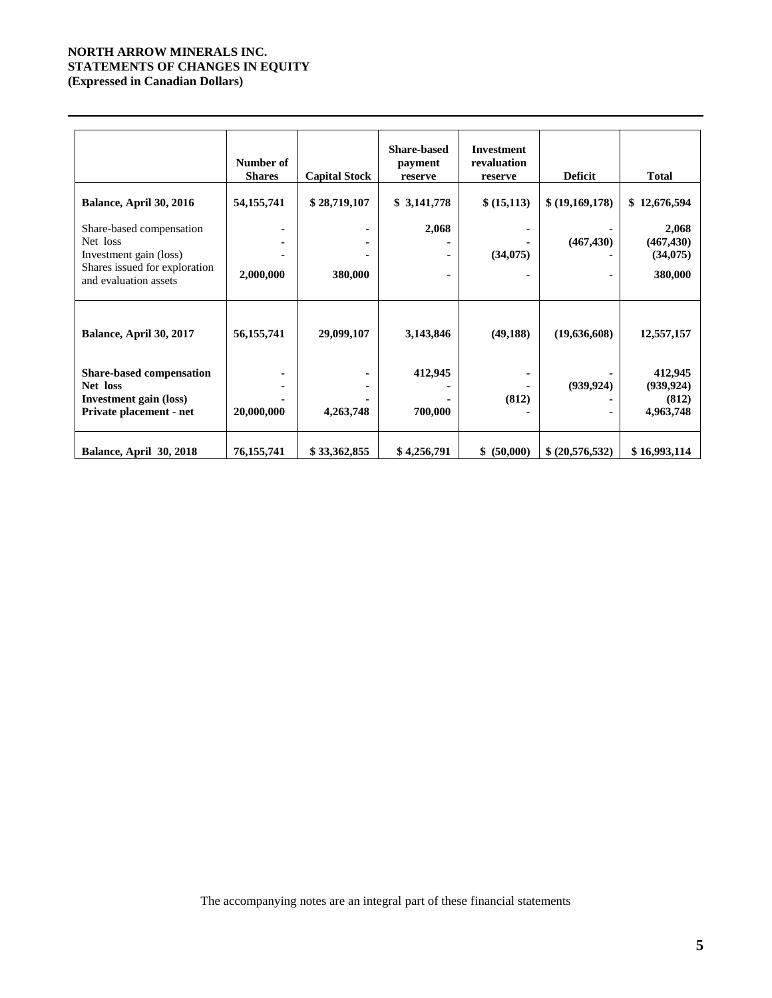# **NORTH ARROW MINERALS INC. STATEMENTS OF CHANGES IN EQUITY (Expressed in Canadian Dollars)**

|                                                                                                                          | Number of<br><b>Shares</b> | <b>Capital Stock</b> | <b>Share-based</b><br>payment<br>reserve | <b>Investment</b><br>revaluation<br>reserve | <b>Deficit</b>  | <b>Total</b>                                |
|--------------------------------------------------------------------------------------------------------------------------|----------------------------|----------------------|------------------------------------------|---------------------------------------------|-----------------|---------------------------------------------|
| Balance, April 30, 2016                                                                                                  | 54, 155, 741               | \$28,719,107         | \$3,141,778                              | \$ (15,113)                                 | \$ (19,169,178) | \$12,676,594                                |
| Share-based compensation<br>Net loss<br>Investment gain (loss)<br>Shares issued for exploration<br>and evaluation assets | 2,000,000                  | 380,000              | 2,068                                    | (34,075)                                    | (467, 430)      | 2,068<br>(467, 430)<br>(34,075)<br>380,000  |
| Balance, April 30, 2017                                                                                                  | 56, 155, 741               | 29,099,107           | 3,143,846                                | (49, 188)                                   | (19,636,608)    | 12,557,157                                  |
| <b>Share-based compensation</b><br>Net loss<br><b>Investment gain (loss)</b><br>Private placement - net                  | 20,000,000                 | 4,263,748            | 412,945<br>700,000                       | (812)                                       | (939, 924)<br>۰ | 412,945<br>(939, 924)<br>(812)<br>4,963,748 |
| Balance, April 30, 2018                                                                                                  | 76, 155, 741               | \$33,362,855         | \$4,256,791                              | \$ (50,000)                                 | \$ (20,576,532) | \$16,993,114                                |

The accompanying notes are an integral part of these financial statements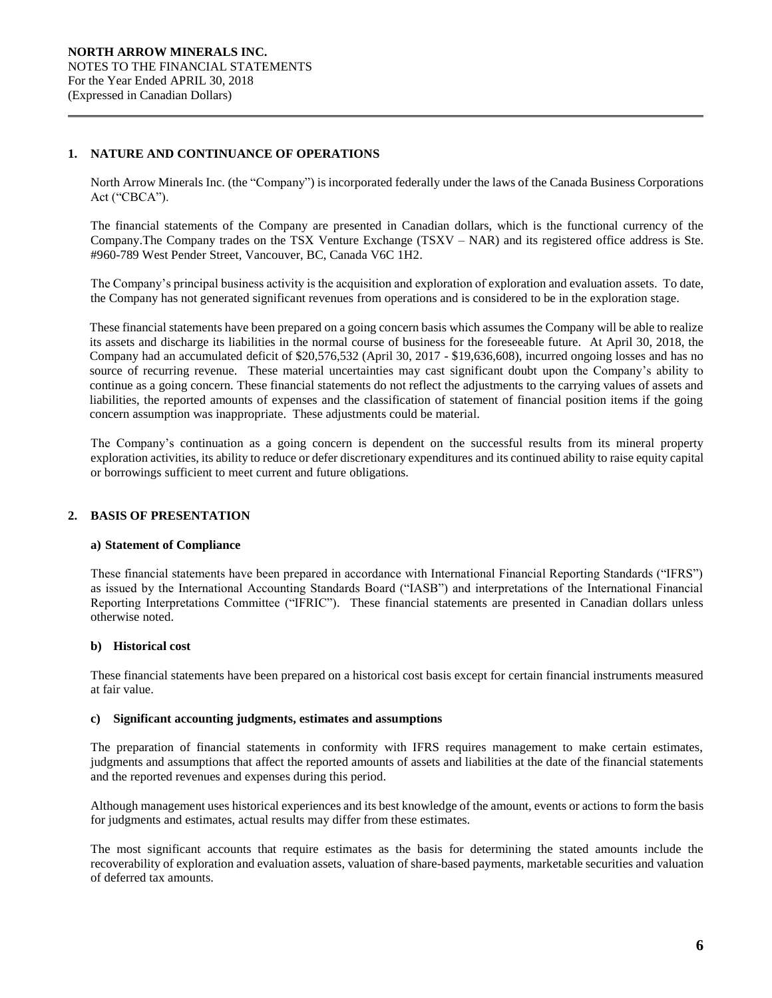# **1. NATURE AND CONTINUANCE OF OPERATIONS**

North Arrow Minerals Inc. (the "Company") is incorporated federally under the laws of the Canada Business Corporations Act ("CBCA").

The financial statements of the Company are presented in Canadian dollars, which is the functional currency of the Company.The Company trades on the TSX Venture Exchange (TSXV – NAR) and its registered office address is Ste. #960-789 West Pender Street, Vancouver, BC, Canada V6C 1H2.

The Company's principal business activity is the acquisition and exploration of exploration and evaluation assets. To date, the Company has not generated significant revenues from operations and is considered to be in the exploration stage.

These financial statements have been prepared on a going concern basis which assumes the Company will be able to realize its assets and discharge its liabilities in the normal course of business for the foreseeable future. At April 30, 2018, the Company had an accumulated deficit of \$20,576,532 (April 30, 2017 - \$19,636,608), incurred ongoing losses and has no source of recurring revenue. These material uncertainties may cast significant doubt upon the Company's ability to continue as a going concern. These financial statements do not reflect the adjustments to the carrying values of assets and liabilities, the reported amounts of expenses and the classification of statement of financial position items if the going concern assumption was inappropriate. These adjustments could be material.

The Company's continuation as a going concern is dependent on the successful results from its mineral property exploration activities, its ability to reduce or defer discretionary expenditures and its continued ability to raise equity capital or borrowings sufficient to meet current and future obligations.

# **2. BASIS OF PRESENTATION**

## **a) Statement of Compliance**

These financial statements have been prepared in accordance with International Financial Reporting Standards ("IFRS") as issued by the International Accounting Standards Board ("IASB") and interpretations of the International Financial Reporting Interpretations Committee ("IFRIC"). These financial statements are presented in Canadian dollars unless otherwise noted.

## **b) Historical cost**

These financial statements have been prepared on a historical cost basis except for certain financial instruments measured at fair value.

## **c) Significant accounting judgments, estimates and assumptions**

The preparation of financial statements in conformity with IFRS requires management to make certain estimates, judgments and assumptions that affect the reported amounts of assets and liabilities at the date of the financial statements and the reported revenues and expenses during this period.

Although management uses historical experiences and its best knowledge of the amount, events or actions to form the basis for judgments and estimates, actual results may differ from these estimates.

The most significant accounts that require estimates as the basis for determining the stated amounts include the recoverability of exploration and evaluation assets, valuation of share-based payments, marketable securities and valuation of deferred tax amounts.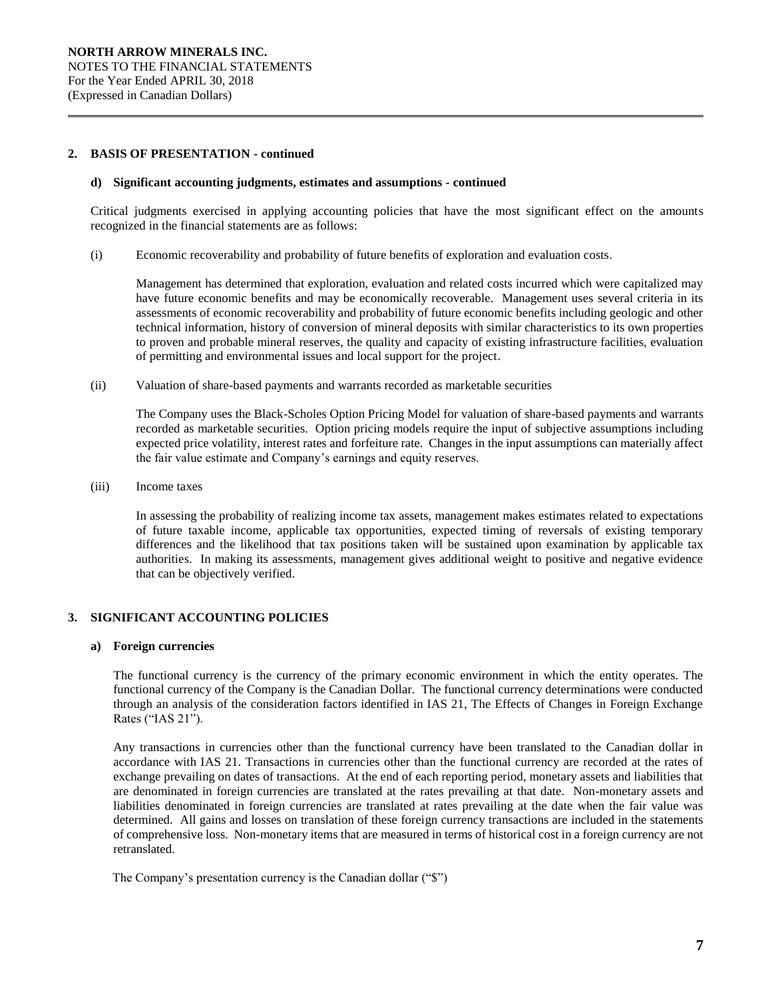# **2. BASIS OF PRESENTATION - continued**

#### **d) Significant accounting judgments, estimates and assumptions** *-* **continued**

Critical judgments exercised in applying accounting policies that have the most significant effect on the amounts recognized in the financial statements are as follows:

(i) Economic recoverability and probability of future benefits of exploration and evaluation costs*.* 

Management has determined that exploration, evaluation and related costs incurred which were capitalized may have future economic benefits and may be economically recoverable. Management uses several criteria in its assessments of economic recoverability and probability of future economic benefits including geologic and other technical information, history of conversion of mineral deposits with similar characteristics to its own properties to proven and probable mineral reserves, the quality and capacity of existing infrastructure facilities, evaluation of permitting and environmental issues and local support for the project.

(ii) Valuation of share-based payments and warrants recorded as marketable securities

The Company uses the Black-Scholes Option Pricing Model for valuation of share-based payments and warrants recorded as marketable securities. Option pricing models require the input of subjective assumptions including expected price volatility, interest rates and forfeiture rate. Changes in the input assumptions can materially affect the fair value estimate and Company's earnings and equity reserves.

(iii) Income taxes

In assessing the probability of realizing income tax assets, management makes estimates related to expectations of future taxable income, applicable tax opportunities, expected timing of reversals of existing temporary differences and the likelihood that tax positions taken will be sustained upon examination by applicable tax authorities. In making its assessments, management gives additional weight to positive and negative evidence that can be objectively verified.

# **3. SIGNIFICANT ACCOUNTING POLICIES**

## **a) Foreign currencies**

The functional currency is the currency of the primary economic environment in which the entity operates. The functional currency of the Company is the Canadian Dollar. The functional currency determinations were conducted through an analysis of the consideration factors identified in IAS 21, The Effects of Changes in Foreign Exchange Rates ("IAS 21").

Any transactions in currencies other than the functional currency have been translated to the Canadian dollar in accordance with IAS 21. Transactions in currencies other than the functional currency are recorded at the rates of exchange prevailing on dates of transactions. At the end of each reporting period, monetary assets and liabilities that are denominated in foreign currencies are translated at the rates prevailing at that date. Non-monetary assets and liabilities denominated in foreign currencies are translated at rates prevailing at the date when the fair value was determined. All gains and losses on translation of these foreign currency transactions are included in the statements of comprehensive loss. Non-monetary items that are measured in terms of historical cost in a foreign currency are not retranslated.

The Company's presentation currency is the Canadian dollar ("\$")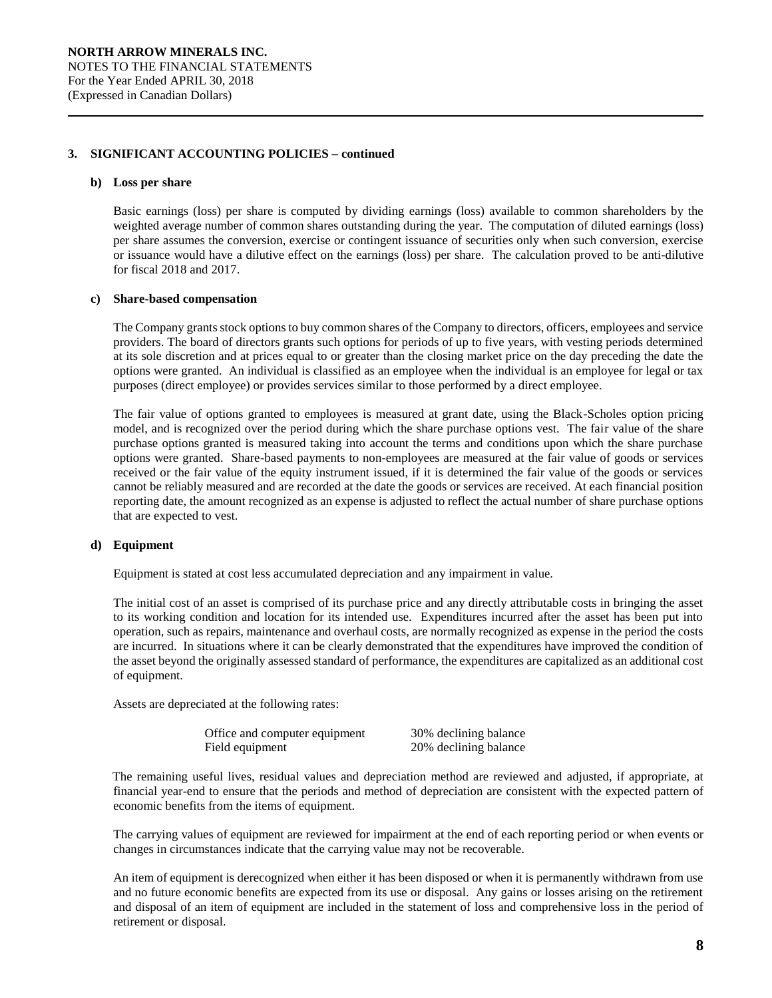#### **b) Loss per share**

Basic earnings (loss) per share is computed by dividing earnings (loss) available to common shareholders by the weighted average number of common shares outstanding during the year. The computation of diluted earnings (loss) per share assumes the conversion, exercise or contingent issuance of securities only when such conversion, exercise or issuance would have a dilutive effect on the earnings (loss) per share. The calculation proved to be anti-dilutive for fiscal 2018 and 2017.

## **c) Share-based compensation**

The Company grants stock options to buy common shares of the Company to directors, officers, employees and service providers. The board of directors grants such options for periods of up to five years, with vesting periods determined at its sole discretion and at prices equal to or greater than the closing market price on the day preceding the date the options were granted. An individual is classified as an employee when the individual is an employee for legal or tax purposes (direct employee) or provides services similar to those performed by a direct employee.

The fair value of options granted to employees is measured at grant date, using the Black-Scholes option pricing model, and is recognized over the period during which the share purchase options vest. The fair value of the share purchase options granted is measured taking into account the terms and conditions upon which the share purchase options were granted. Share-based payments to non-employees are measured at the fair value of goods or services received or the fair value of the equity instrument issued, if it is determined the fair value of the goods or services cannot be reliably measured and are recorded at the date the goods or services are received. At each financial position reporting date, the amount recognized as an expense is adjusted to reflect the actual number of share purchase options that are expected to vest.

## **d) Equipment**

Equipment is stated at cost less accumulated depreciation and any impairment in value.

The initial cost of an asset is comprised of its purchase price and any directly attributable costs in bringing the asset to its working condition and location for its intended use. Expenditures incurred after the asset has been put into operation, such as repairs, maintenance and overhaul costs, are normally recognized as expense in the period the costs are incurred. In situations where it can be clearly demonstrated that the expenditures have improved the condition of the asset beyond the originally assessed standard of performance, the expenditures are capitalized as an additional cost of equipment.

Assets are depreciated at the following rates:

| Office and computer equipment | 30% declining balance |
|-------------------------------|-----------------------|
| Field equipment               | 20% declining balance |

The remaining useful lives, residual values and depreciation method are reviewed and adjusted, if appropriate, at financial year-end to ensure that the periods and method of depreciation are consistent with the expected pattern of economic benefits from the items of equipment.

The carrying values of equipment are reviewed for impairment at the end of each reporting period or when events or changes in circumstances indicate that the carrying value may not be recoverable.

An item of equipment is derecognized when either it has been disposed or when it is permanently withdrawn from use and no future economic benefits are expected from its use or disposal. Any gains or losses arising on the retirement and disposal of an item of equipment are included in the statement of loss and comprehensive loss in the period of retirement or disposal.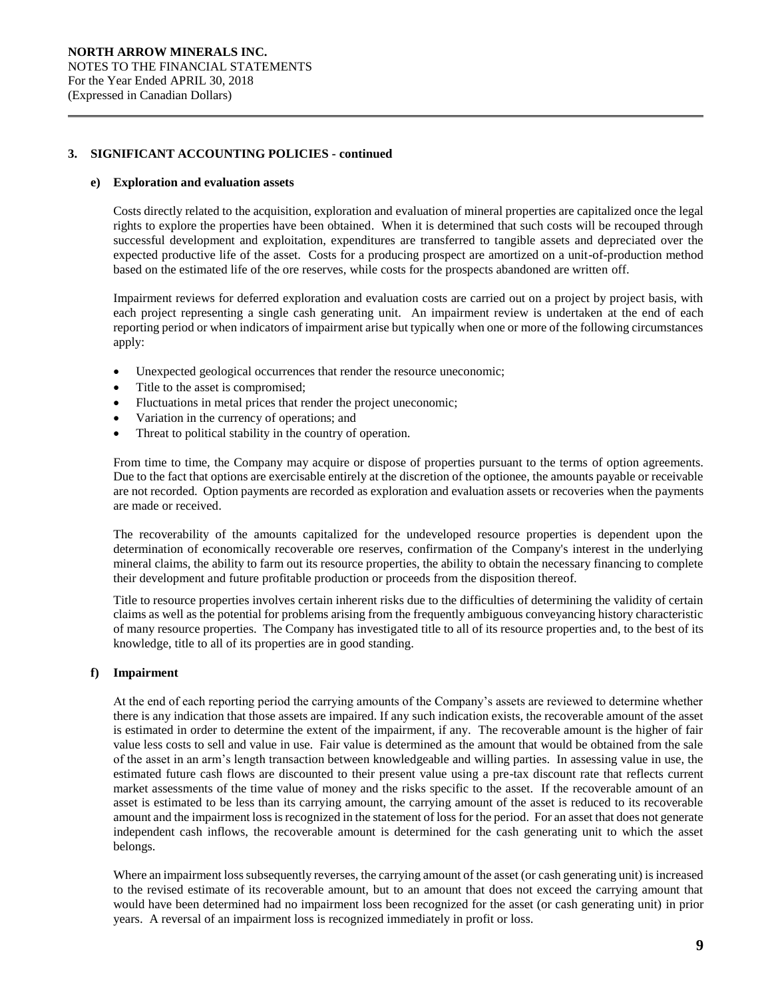#### **e) Exploration and evaluation assets**

Costs directly related to the acquisition, exploration and evaluation of mineral properties are capitalized once the legal rights to explore the properties have been obtained. When it is determined that such costs will be recouped through successful development and exploitation, expenditures are transferred to tangible assets and depreciated over the expected productive life of the asset. Costs for a producing prospect are amortized on a unit-of-production method based on the estimated life of the ore reserves, while costs for the prospects abandoned are written off.

Impairment reviews for deferred exploration and evaluation costs are carried out on a project by project basis, with each project representing a single cash generating unit. An impairment review is undertaken at the end of each reporting period or when indicators of impairment arise but typically when one or more of the following circumstances apply:

- Unexpected geological occurrences that render the resource uneconomic;
- Title to the asset is compromised;
- Fluctuations in metal prices that render the project uneconomic;
- Variation in the currency of operations; and
- Threat to political stability in the country of operation.

From time to time, the Company may acquire or dispose of properties pursuant to the terms of option agreements. Due to the fact that options are exercisable entirely at the discretion of the optionee, the amounts payable or receivable are not recorded. Option payments are recorded as exploration and evaluation assets or recoveries when the payments are made or received.

The recoverability of the amounts capitalized for the undeveloped resource properties is dependent upon the determination of economically recoverable ore reserves, confirmation of the Company's interest in the underlying mineral claims, the ability to farm out its resource properties, the ability to obtain the necessary financing to complete their development and future profitable production or proceeds from the disposition thereof.

Title to resource properties involves certain inherent risks due to the difficulties of determining the validity of certain claims as well as the potential for problems arising from the frequently ambiguous conveyancing history characteristic of many resource properties. The Company has investigated title to all of its resource properties and, to the best of its knowledge, title to all of its properties are in good standing.

# **f) Impairment**

At the end of each reporting period the carrying amounts of the Company's assets are reviewed to determine whether there is any indication that those assets are impaired. If any such indication exists, the recoverable amount of the asset is estimated in order to determine the extent of the impairment, if any. The recoverable amount is the higher of fair value less costs to sell and value in use. Fair value is determined as the amount that would be obtained from the sale of the asset in an arm's length transaction between knowledgeable and willing parties. In assessing value in use, the estimated future cash flows are discounted to their present value using a pre-tax discount rate that reflects current market assessments of the time value of money and the risks specific to the asset. If the recoverable amount of an asset is estimated to be less than its carrying amount, the carrying amount of the asset is reduced to its recoverable amount and the impairment loss is recognized in the statement of loss for the period. For an asset that does not generate independent cash inflows, the recoverable amount is determined for the cash generating unit to which the asset belongs.

Where an impairment loss subsequently reverses, the carrying amount of the asset (or cash generating unit) is increased to the revised estimate of its recoverable amount, but to an amount that does not exceed the carrying amount that would have been determined had no impairment loss been recognized for the asset (or cash generating unit) in prior years. A reversal of an impairment loss is recognized immediately in profit or loss.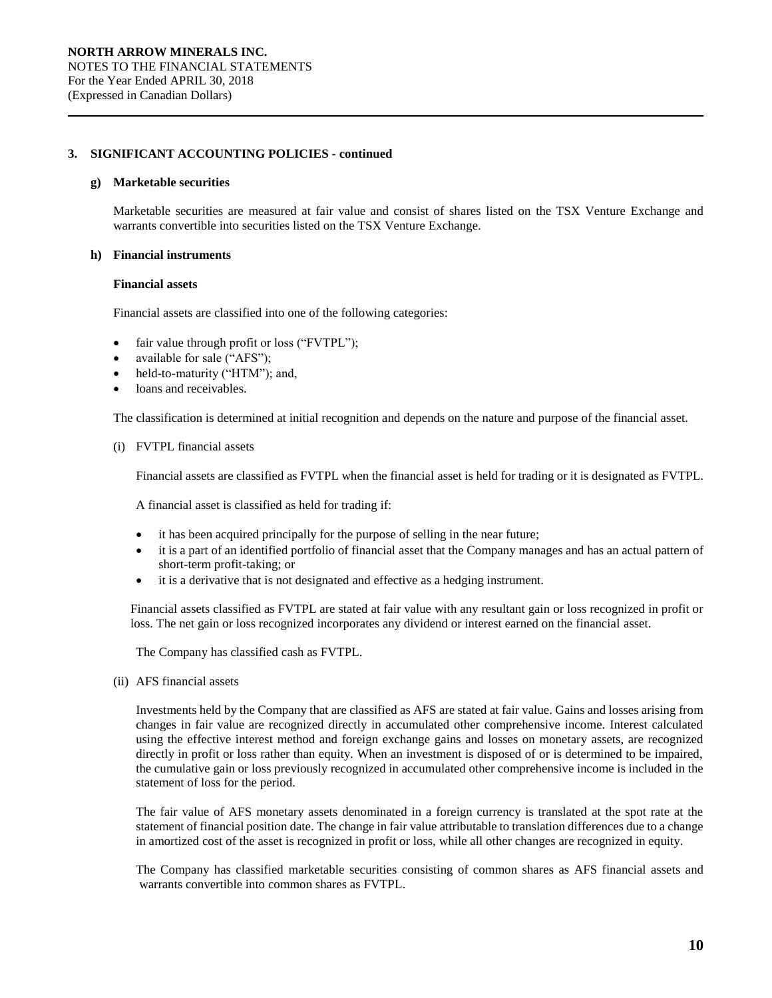### **g) Marketable securities**

Marketable securities are measured at fair value and consist of shares listed on the TSX Venture Exchange and warrants convertible into securities listed on the TSX Venture Exchange.

#### **h) Financial instruments**

# **Financial assets**

Financial assets are classified into one of the following categories:

- fair value through profit or loss ("FVTPL");
- available for sale ("AFS");
- held-to-maturity ("HTM"); and,
- loans and receivables.

The classification is determined at initial recognition and depends on the nature and purpose of the financial asset.

(i) FVTPL financial assets

Financial assets are classified as FVTPL when the financial asset is held for trading or it is designated as FVTPL.

A financial asset is classified as held for trading if:

- it has been acquired principally for the purpose of selling in the near future;
- it is a part of an identified portfolio of financial asset that the Company manages and has an actual pattern of short-term profit-taking; or
- it is a derivative that is not designated and effective as a hedging instrument.

Financial assets classified as FVTPL are stated at fair value with any resultant gain or loss recognized in profit or loss. The net gain or loss recognized incorporates any dividend or interest earned on the financial asset.

The Company has classified cash as FVTPL.

(ii) AFS financial assets

Investments held by the Company that are classified as AFS are stated at fair value. Gains and losses arising from changes in fair value are recognized directly in accumulated other comprehensive income. Interest calculated using the effective interest method and foreign exchange gains and losses on monetary assets, are recognized directly in profit or loss rather than equity. When an investment is disposed of or is determined to be impaired, the cumulative gain or loss previously recognized in accumulated other comprehensive income is included in the statement of loss for the period.

The fair value of AFS monetary assets denominated in a foreign currency is translated at the spot rate at the statement of financial position date. The change in fair value attributable to translation differences due to a change in amortized cost of the asset is recognized in profit or loss, while all other changes are recognized in equity.

The Company has classified marketable securities consisting of common shares as AFS financial assets and warrants convertible into common shares as FVTPL.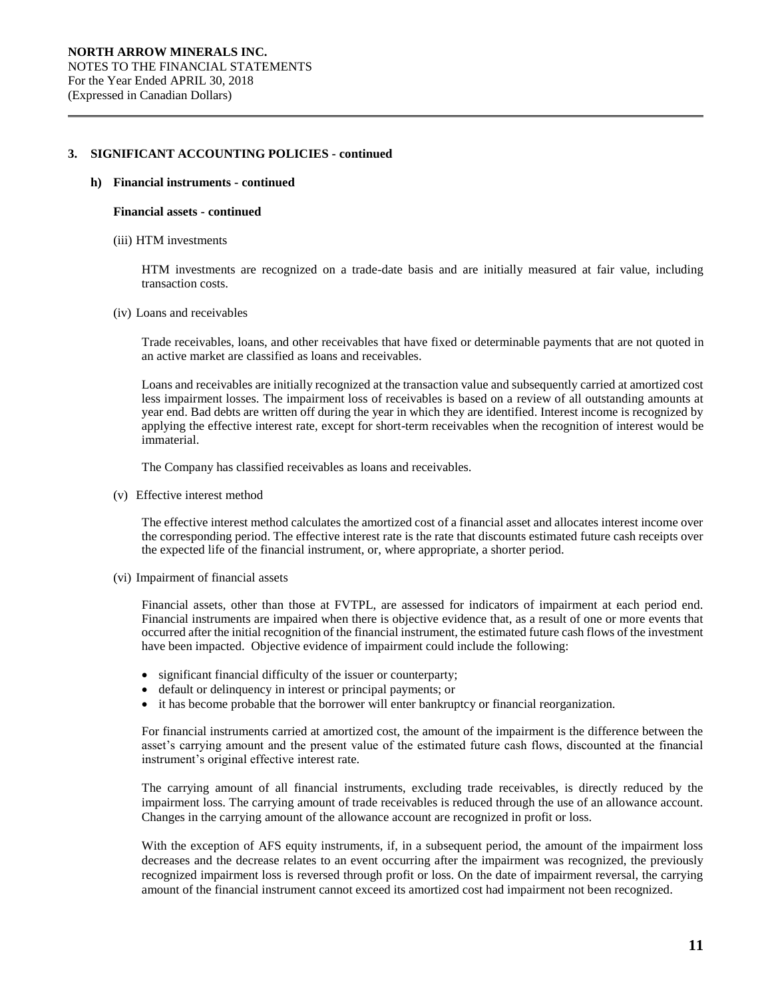#### **h) Financial instruments - continued**

#### **Financial assets - continued**

(iii) HTM investments

HTM investments are recognized on a trade-date basis and are initially measured at fair value, including transaction costs.

(iv) Loans and receivables

Trade receivables, loans, and other receivables that have fixed or determinable payments that are not quoted in an active market are classified as loans and receivables.

Loans and receivables are initially recognized at the transaction value and subsequently carried at amortized cost less impairment losses. The impairment loss of receivables is based on a review of all outstanding amounts at year end. Bad debts are written off during the year in which they are identified. Interest income is recognized by applying the effective interest rate, except for short-term receivables when the recognition of interest would be immaterial.

The Company has classified receivables as loans and receivables.

(v) Effective interest method

The effective interest method calculates the amortized cost of a financial asset and allocates interest income over the corresponding period. The effective interest rate is the rate that discounts estimated future cash receipts over the expected life of the financial instrument, or, where appropriate, a shorter period.

(vi) Impairment of financial assets

Financial assets, other than those at FVTPL, are assessed for indicators of impairment at each period end. Financial instruments are impaired when there is objective evidence that, as a result of one or more events that occurred after the initial recognition of the financial instrument, the estimated future cash flows of the investment have been impacted. Objective evidence of impairment could include the following:

- significant financial difficulty of the issuer or counterparty;
- default or delinquency in interest or principal payments; or
- it has become probable that the borrower will enter bankruptcy or financial reorganization.

For financial instruments carried at amortized cost, the amount of the impairment is the difference between the asset's carrying amount and the present value of the estimated future cash flows, discounted at the financial instrument's original effective interest rate.

The carrying amount of all financial instruments, excluding trade receivables, is directly reduced by the impairment loss. The carrying amount of trade receivables is reduced through the use of an allowance account. Changes in the carrying amount of the allowance account are recognized in profit or loss.

With the exception of AFS equity instruments, if, in a subsequent period, the amount of the impairment loss decreases and the decrease relates to an event occurring after the impairment was recognized, the previously recognized impairment loss is reversed through profit or loss. On the date of impairment reversal, the carrying amount of the financial instrument cannot exceed its amortized cost had impairment not been recognized.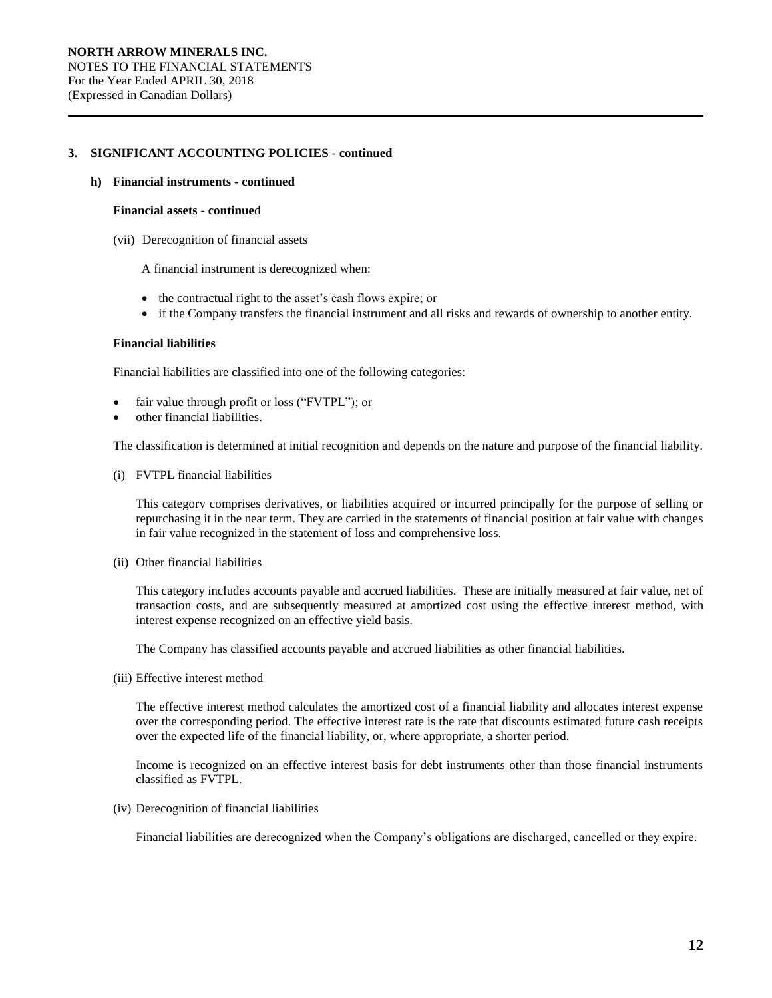#### **h) Financial instruments - continued**

#### **Financial assets - continue**d

(vii) Derecognition of financial assets

A financial instrument is derecognized when:

- the contractual right to the asset's cash flows expire; or
- if the Company transfers the financial instrument and all risks and rewards of ownership to another entity.

#### **Financial liabilities**

Financial liabilities are classified into one of the following categories:

- fair value through profit or loss ("FVTPL"); or
- other financial liabilities.

The classification is determined at initial recognition and depends on the nature and purpose of the financial liability.

(i) FVTPL financial liabilities

This category comprises derivatives, or liabilities acquired or incurred principally for the purpose of selling or repurchasing it in the near term. They are carried in the statements of financial position at fair value with changes in fair value recognized in the statement of loss and comprehensive loss.

(ii) Other financial liabilities

This category includes accounts payable and accrued liabilities. These are initially measured at fair value, net of transaction costs, and are subsequently measured at amortized cost using the effective interest method, with interest expense recognized on an effective yield basis.

The Company has classified accounts payable and accrued liabilities as other financial liabilities.

(iii) Effective interest method

The effective interest method calculates the amortized cost of a financial liability and allocates interest expense over the corresponding period. The effective interest rate is the rate that discounts estimated future cash receipts over the expected life of the financial liability, or, where appropriate, a shorter period.

Income is recognized on an effective interest basis for debt instruments other than those financial instruments classified as FVTPL.

(iv) Derecognition of financial liabilities

Financial liabilities are derecognized when the Company's obligations are discharged, cancelled or they expire.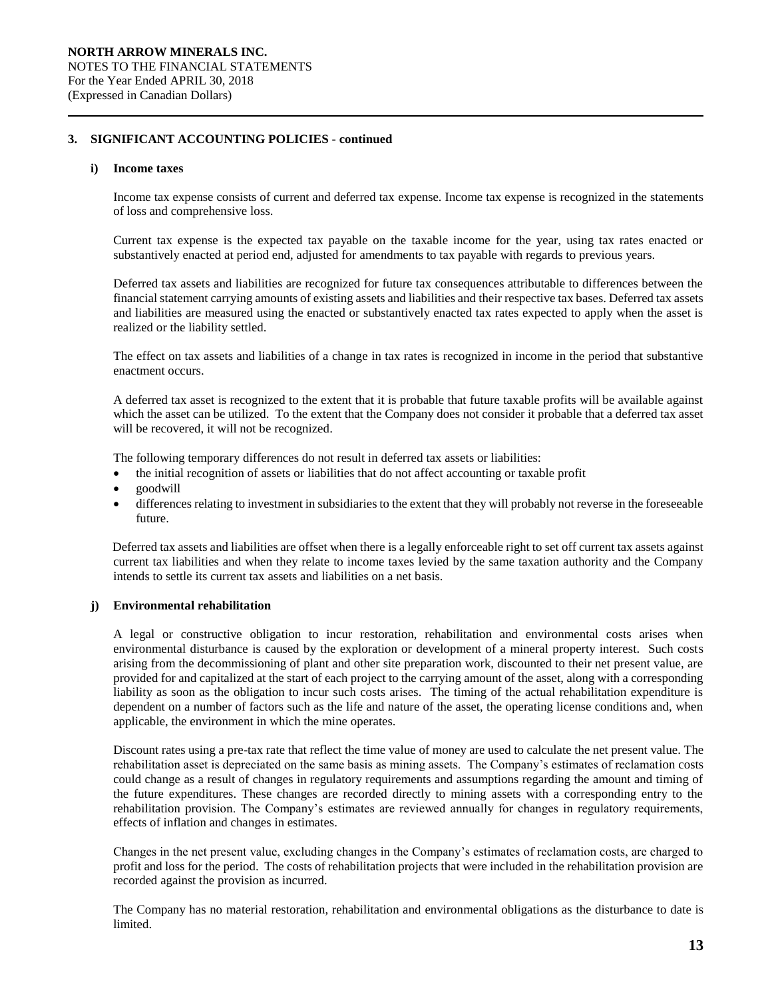#### **i) Income taxes**

Income tax expense consists of current and deferred tax expense. Income tax expense is recognized in the statements of loss and comprehensive loss.

Current tax expense is the expected tax payable on the taxable income for the year, using tax rates enacted or substantively enacted at period end, adjusted for amendments to tax payable with regards to previous years.

Deferred tax assets and liabilities are recognized for future tax consequences attributable to differences between the financial statement carrying amounts of existing assets and liabilities and their respective tax bases. Deferred tax assets and liabilities are measured using the enacted or substantively enacted tax rates expected to apply when the asset is realized or the liability settled.

The effect on tax assets and liabilities of a change in tax rates is recognized in income in the period that substantive enactment occurs.

A deferred tax asset is recognized to the extent that it is probable that future taxable profits will be available against which the asset can be utilized. To the extent that the Company does not consider it probable that a deferred tax asset will be recovered, it will not be recognized.

The following temporary differences do not result in deferred tax assets or liabilities:

- the initial recognition of assets or liabilities that do not affect accounting or taxable profit
- goodwill
- differences relating to investment in subsidiaries to the extent that they will probably not reverse in the foreseeable future.

Deferred tax assets and liabilities are offset when there is a legally enforceable right to set off current tax assets against current tax liabilities and when they relate to income taxes levied by the same taxation authority and the Company intends to settle its current tax assets and liabilities on a net basis.

## **j) Environmental rehabilitation**

A legal or constructive obligation to incur restoration, rehabilitation and environmental costs arises when environmental disturbance is caused by the exploration or development of a mineral property interest. Such costs arising from the decommissioning of plant and other site preparation work, discounted to their net present value, are provided for and capitalized at the start of each project to the carrying amount of the asset, along with a corresponding liability as soon as the obligation to incur such costs arises. The timing of the actual rehabilitation expenditure is dependent on a number of factors such as the life and nature of the asset, the operating license conditions and, when applicable, the environment in which the mine operates.

Discount rates using a pre-tax rate that reflect the time value of money are used to calculate the net present value. The rehabilitation asset is depreciated on the same basis as mining assets. The Company's estimates of reclamation costs could change as a result of changes in regulatory requirements and assumptions regarding the amount and timing of the future expenditures. These changes are recorded directly to mining assets with a corresponding entry to the rehabilitation provision. The Company's estimates are reviewed annually for changes in regulatory requirements, effects of inflation and changes in estimates.

Changes in the net present value, excluding changes in the Company's estimates of reclamation costs, are charged to profit and loss for the period. The costs of rehabilitation projects that were included in the rehabilitation provision are recorded against the provision as incurred.

The Company has no material restoration, rehabilitation and environmental obligations as the disturbance to date is limited.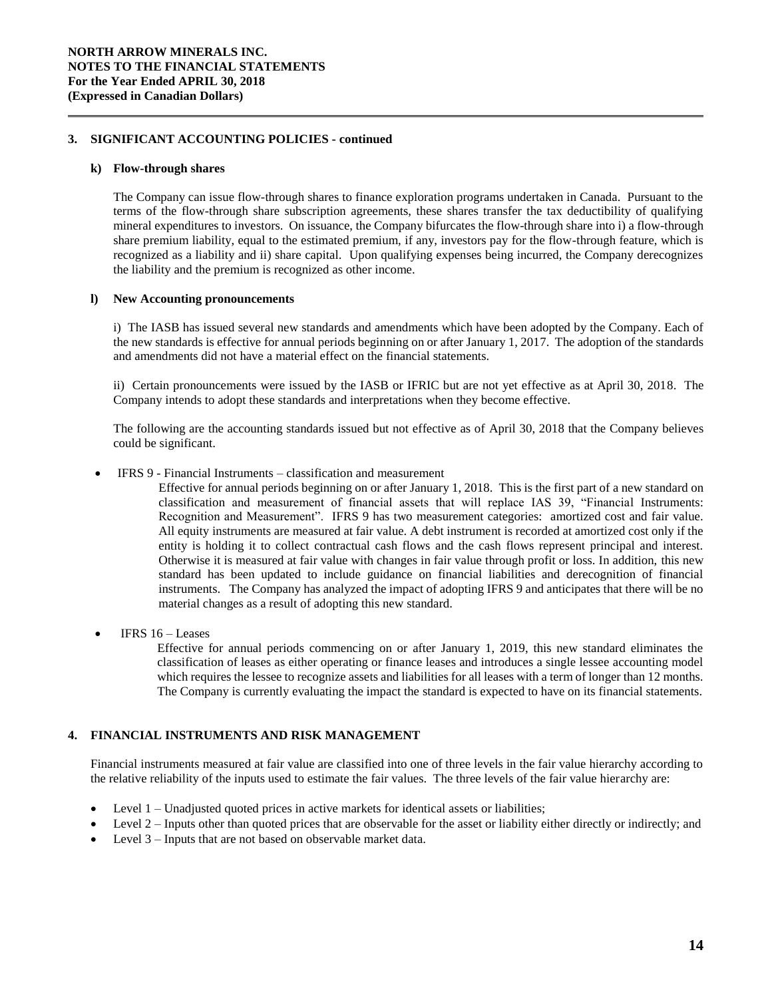#### **k) Flow-through shares**

The Company can issue flow-through shares to finance exploration programs undertaken in Canada. Pursuant to the terms of the flow-through share subscription agreements, these shares transfer the tax deductibility of qualifying mineral expenditures to investors. On issuance, the Company bifurcates the flow-through share into i) a flow-through share premium liability, equal to the estimated premium, if any, investors pay for the flow-through feature, which is recognized as a liability and ii) share capital. Upon qualifying expenses being incurred, the Company derecognizes the liability and the premium is recognized as other income.

## **l) New Accounting pronouncements**

i) The IASB has issued several new standards and amendments which have been adopted by the Company. Each of the new standards is effective for annual periods beginning on or after January 1, 2017. The adoption of the standards and amendments did not have a material effect on the financial statements.

ii) Certain pronouncements were issued by the IASB or IFRIC but are not yet effective as at April 30, 2018. The Company intends to adopt these standards and interpretations when they become effective.

The following are the accounting standards issued but not effective as of April 30, 2018 that the Company believes could be significant.

# IFRS 9 - Financial Instruments – classification and measurement

Effective for annual periods beginning on or after January 1, 2018. This is the first part of a new standard on classification and measurement of financial assets that will replace IAS 39, "Financial Instruments: Recognition and Measurement". IFRS 9 has two measurement categories: amortized cost and fair value. All equity instruments are measured at fair value. A debt instrument is recorded at amortized cost only if the entity is holding it to collect contractual cash flows and the cash flows represent principal and interest. Otherwise it is measured at fair value with changes in fair value through profit or loss. In addition, this new standard has been updated to include guidance on financial liabilities and derecognition of financial instruments. The Company has analyzed the impact of adopting IFRS 9 and anticipates that there will be no material changes as a result of adopting this new standard.

 $\bullet$  IFRS 16 – Leases

Effective for annual periods commencing on or after January 1, 2019, this new standard eliminates the classification of leases as either operating or finance leases and introduces a single lessee accounting model which requires the lessee to recognize assets and liabilities for all leases with a term of longer than 12 months. The Company is currently evaluating the impact the standard is expected to have on its financial statements.

# **4. FINANCIAL INSTRUMENTS AND RISK MANAGEMENT**

Financial instruments measured at fair value are classified into one of three levels in the fair value hierarchy according to the relative reliability of the inputs used to estimate the fair values. The three levels of the fair value hierarchy are:

- Level 1 Unadjusted quoted prices in active markets for identical assets or liabilities;
- Level 2 Inputs other than quoted prices that are observable for the asset or liability either directly or indirectly; and
- Level 3 Inputs that are not based on observable market data.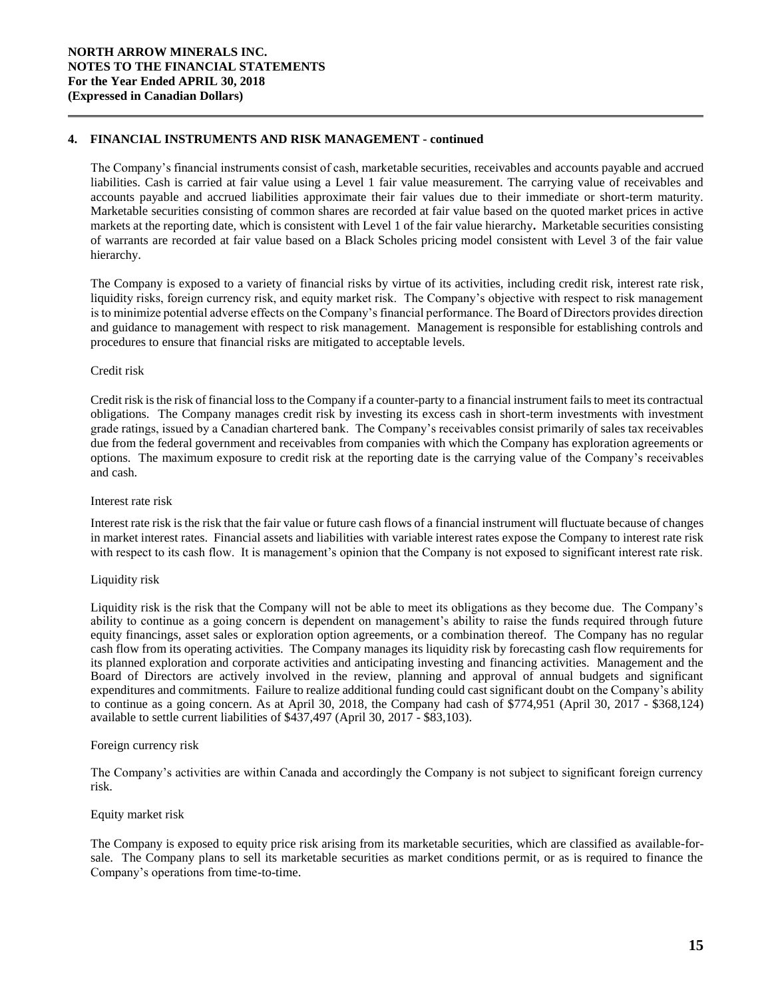# **4. FINANCIAL INSTRUMENTS AND RISK MANAGEMENT - continued**

The Company's financial instruments consist of cash, marketable securities, receivables and accounts payable and accrued liabilities. Cash is carried at fair value using a Level 1 fair value measurement. The carrying value of receivables and accounts payable and accrued liabilities approximate their fair values due to their immediate or short-term maturity. Marketable securities consisting of common shares are recorded at fair value based on the quoted market prices in active markets at the reporting date, which is consistent with Level 1 of the fair value hierarchy**.** Marketable securities consisting of warrants are recorded at fair value based on a Black Scholes pricing model consistent with Level 3 of the fair value hierarchy.

The Company is exposed to a variety of financial risks by virtue of its activities, including credit risk, interest rate risk, liquidity risks, foreign currency risk, and equity market risk. The Company's objective with respect to risk management is to minimize potential adverse effects on the Company's financial performance. The Board of Directors provides direction and guidance to management with respect to risk management. Management is responsible for establishing controls and procedures to ensure that financial risks are mitigated to acceptable levels.

## Credit risk

Credit risk is the risk of financial loss to the Company if a counter-party to a financial instrument fails to meet its contractual obligations. The Company manages credit risk by investing its excess cash in short-term investments with investment grade ratings, issued by a Canadian chartered bank. The Company's receivables consist primarily of sales tax receivables due from the federal government and receivables from companies with which the Company has exploration agreements or options. The maximum exposure to credit risk at the reporting date is the carrying value of the Company's receivables and cash.

#### Interest rate risk

Interest rate risk is the risk that the fair value or future cash flows of a financial instrument will fluctuate because of changes in market interest rates. Financial assets and liabilities with variable interest rates expose the Company to interest rate risk with respect to its cash flow. It is management's opinion that the Company is not exposed to significant interest rate risk.

## Liquidity risk

Liquidity risk is the risk that the Company will not be able to meet its obligations as they become due. The Company's ability to continue as a going concern is dependent on management's ability to raise the funds required through future equity financings, asset sales or exploration option agreements, or a combination thereof. The Company has no regular cash flow from its operating activities. The Company manages its liquidity risk by forecasting cash flow requirements for its planned exploration and corporate activities and anticipating investing and financing activities. Management and the Board of Directors are actively involved in the review, planning and approval of annual budgets and significant expenditures and commitments. Failure to realize additional funding could cast significant doubt on the Company's ability to continue as a going concern. As at April 30, 2018, the Company had cash of \$774,951 (April 30, 2017 - \$368,124) available to settle current liabilities of \$437,497 (April 30, 2017 - \$83,103).

## Foreign currency risk

The Company's activities are within Canada and accordingly the Company is not subject to significant foreign currency risk.

#### Equity market risk

The Company is exposed to equity price risk arising from its marketable securities, which are classified as available-forsale. The Company plans to sell its marketable securities as market conditions permit, or as is required to finance the Company's operations from time-to-time.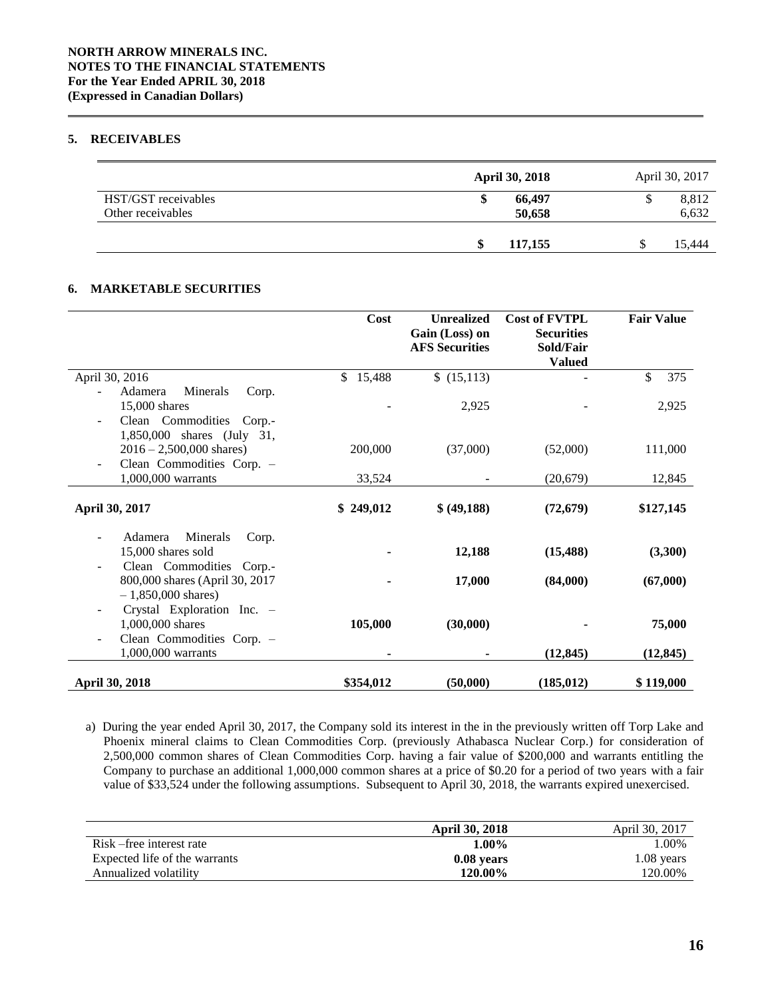# **5. RECEIVABLES**

|                                          | <b>April 30, 2018</b> | April 30, 2017 |
|------------------------------------------|-----------------------|----------------|
| HST/GST receivables<br>Other receivables | 66.497<br>S<br>50,658 | 8,812<br>6,632 |
|                                          | \$<br>117,155         | 15,444         |

# **6. MARKETABLE SECURITIES**

|                                                                                                                   | Cost      | <b>Unrealized</b><br>Gain (Loss) on<br><b>AFS Securities</b> | <b>Cost of FVTPL</b><br><b>Securities</b><br>Sold/Fair<br><b>Valued</b> | <b>Fair Value</b> |
|-------------------------------------------------------------------------------------------------------------------|-----------|--------------------------------------------------------------|-------------------------------------------------------------------------|-------------------|
| April 30, 2016                                                                                                    | \$15,488  | \$(15,113)                                                   |                                                                         | 375<br>\$         |
| Minerals<br>Adamera<br>Corp.<br>15,000 shares<br>Clean Commodities Corp.-<br>$\overline{\phantom{a}}$             |           | 2,925                                                        |                                                                         | 2,925             |
| 1,850,000 shares (July 31,<br>$2016 - 2,500,000$ shares)<br>Clean Commodities Corp. -<br>$\overline{\phantom{a}}$ | 200,000   | (37,000)                                                     | (52,000)                                                                | 111,000           |
| 1,000,000 warrants                                                                                                | 33,524    |                                                              | (20, 679)                                                               | 12,845            |
| April 30, 2017                                                                                                    | \$249,012 | \$(49,188)                                                   | (72, 679)                                                               | \$127,145         |
| Adamera<br>Minerals<br>Corp.<br>ä,<br>15,000 shares sold<br>Clean Commodities Corp.-<br>$\overline{a}$            |           | 12,188                                                       | (15, 488)                                                               | (3,300)           |
| 800,000 shares (April 30, 2017<br>$-1,850,000$ shares)                                                            |           | 17,000                                                       | (84,000)                                                                | (67,000)          |
| Crystal Exploration Inc. -<br>$\overline{\phantom{0}}$<br>1,000,000 shares<br>Clean Commodities Corp. -<br>Ξ      | 105,000   | (30,000)                                                     |                                                                         | 75,000            |
| 1,000,000 warrants                                                                                                |           |                                                              | (12, 845)                                                               | (12, 845)         |
| April 30, 2018                                                                                                    | \$354,012 | (50,000)                                                     | (185, 012)                                                              | \$119,000         |

a) During the year ended April 30, 2017, the Company sold its interest in the in the previously written off Torp Lake and Phoenix mineral claims to Clean Commodities Corp. (previously Athabasca Nuclear Corp.) for consideration of 2,500,000 common shares of Clean Commodities Corp. having a fair value of \$200,000 and warrants entitling the Company to purchase an additional 1,000,000 common shares at a price of \$0.20 for a period of two years with a fair value of \$33,524 under the following assumptions. Subsequent to April 30, 2018, the warrants expired unexercised.

|                               | <b>April 30, 2018</b> | April 30, 2017 |
|-------------------------------|-----------------------|----------------|
| Risk – free interest rate     | $1.00\%$              | $0.00\%$       |
| Expected life of the warrants | 0.08 years            | $1.08$ years   |
| Annualized volatility         | 120.00%               | 120.00%        |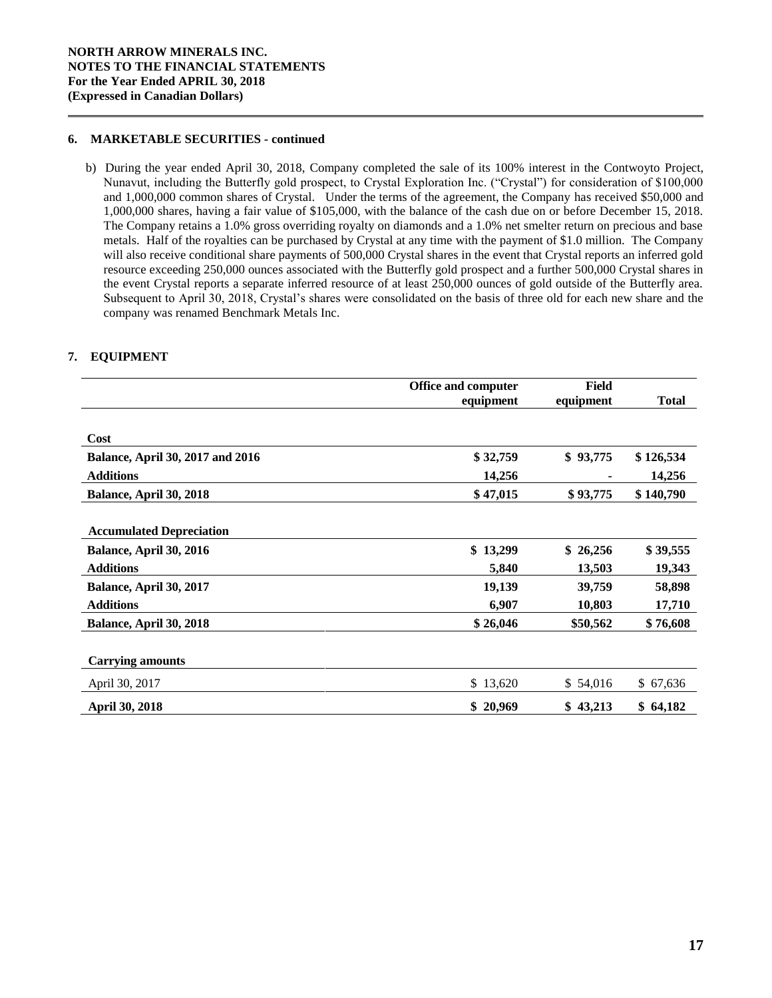# **6. MARKETABLE SECURITIES - continued**

b) During the year ended April 30, 2018, Company completed the sale of its 100% interest in the Contwoyto Project, Nunavut, including the Butterfly gold prospect, to Crystal Exploration Inc. ("Crystal") for consideration of \$100,000 and 1,000,000 common shares of Crystal. Under the terms of the agreement, the Company has received \$50,000 and 1,000,000 shares, having a fair value of \$105,000, with the balance of the cash due on or before December 15, 2018. The Company retains a 1.0% gross overriding royalty on diamonds and a 1.0% net smelter return on precious and base metals. Half of the royalties can be purchased by Crystal at any time with the payment of \$1.0 million. The Company will also receive conditional share payments of 500,000 Crystal shares in the event that Crystal reports an inferred gold resource exceeding 250,000 ounces associated with the Butterfly gold prospect and a further 500,000 Crystal shares in the event Crystal reports a separate inferred resource of at least 250,000 ounces of gold outside of the Butterfly area. Subsequent to April 30, 2018, Crystal's shares were consolidated on the basis of three old for each new share and the company was renamed Benchmark Metals Inc.

# **7. EQUIPMENT**

|                                         | <b>Office and computer</b> | <b>Field</b> |              |  |
|-----------------------------------------|----------------------------|--------------|--------------|--|
|                                         | equipment                  | equipment    | <b>Total</b> |  |
|                                         |                            |              |              |  |
| Cost                                    |                            |              |              |  |
| <b>Balance, April 30, 2017 and 2016</b> | \$32,759                   | \$93,775     | \$126,534    |  |
| <b>Additions</b>                        | 14,256                     |              | 14,256       |  |
| Balance, April 30, 2018                 | \$47,015                   | \$93,775     | \$140,790    |  |
|                                         |                            |              |              |  |
| <b>Accumulated Depreciation</b>         |                            |              |              |  |
| Balance, April 30, 2016                 | \$13,299                   | \$26,256     | \$39,555     |  |
| <b>Additions</b>                        | 5,840                      | 13,503       | 19,343       |  |
| Balance, April 30, 2017                 | 19,139                     | 39,759       | 58,898       |  |
| <b>Additions</b>                        | 6,907                      | 10,803       | 17,710       |  |
| Balance, April 30, 2018                 | \$26,046                   | \$50,562     | \$76,608     |  |
|                                         |                            |              |              |  |
| <b>Carrying amounts</b>                 |                            |              |              |  |
| April 30, 2017                          | \$13,620                   | \$54,016     | \$67,636     |  |
| <b>April 30, 2018</b>                   | \$20,969                   | \$43,213     | \$64,182     |  |
|                                         |                            |              |              |  |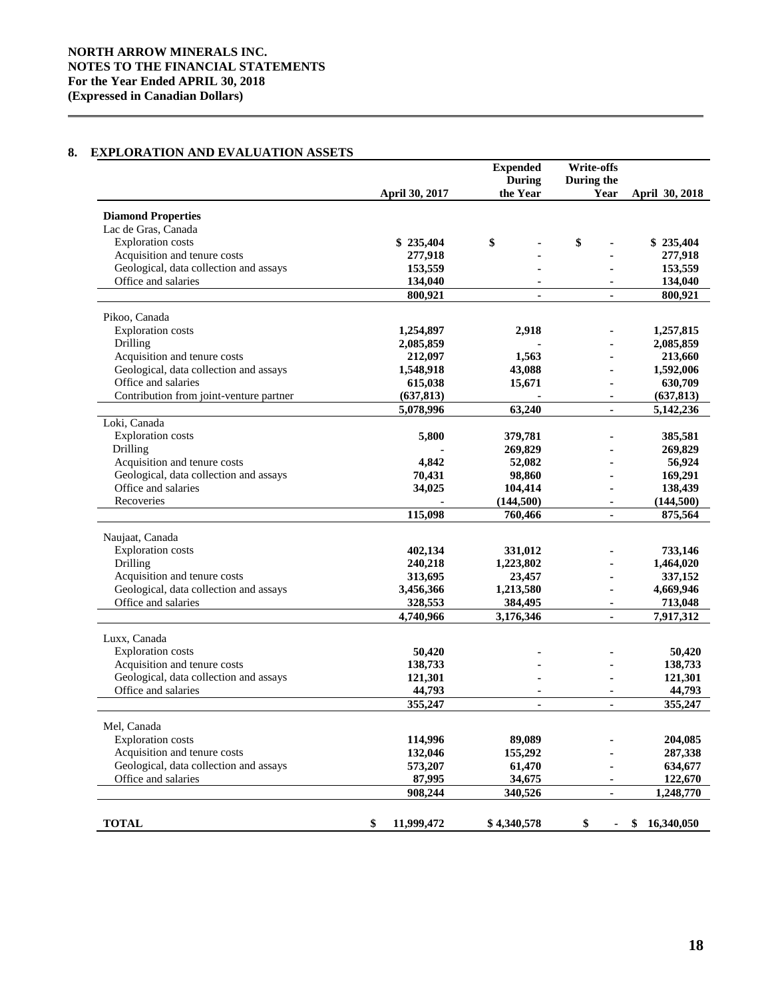# **NORTH ARROW MINERALS INC. NOTES TO THE FINANCIAL STATEMENTS For the Year Ended APRIL 30, 2018 (Expressed in Canadian Dollars)**

# **8. EXPLORATION AND EVALUATION ASSETS**

|                                         |                  | <b>Expended</b> | Write-offs     |                  |
|-----------------------------------------|------------------|-----------------|----------------|------------------|
|                                         |                  | <b>During</b>   | During the     |                  |
|                                         | April 30, 2017   | the Year        | Year           | April 30, 2018   |
| <b>Diamond Properties</b>               |                  |                 |                |                  |
| Lac de Gras, Canada                     |                  |                 |                |                  |
| <b>Exploration</b> costs                | \$235,404        | \$              | \$             | \$235,404        |
| Acquisition and tenure costs            | 277,918          |                 |                | 277,918          |
| Geological, data collection and assays  | 153,559          |                 |                | 153,559          |
| Office and salaries                     | 134,040          |                 |                | 134,040          |
|                                         | 800,921          | $\mathbf{r}$    | $\mathbf{r}$   | 800,921          |
| Pikoo, Canada                           |                  |                 |                |                  |
| <b>Exploration</b> costs                | 1,254,897        | 2,918           |                | 1,257,815        |
| Drilling                                | 2,085,859        |                 |                | 2,085,859        |
| Acquisition and tenure costs            | 212,097          | 1,563           |                | 213,660          |
| Geological, data collection and assays  | 1,548,918        | 43,088          |                | 1,592,006        |
| Office and salaries                     | 615,038          | 15,671          |                | 630,709          |
| Contribution from joint-venture partner | (637, 813)       |                 |                | (637, 813)       |
|                                         |                  |                 | $\blacksquare$ |                  |
| Loki, Canada                            | 5,078,996        | 63,240          |                | 5,142,236        |
|                                         |                  |                 |                |                  |
| <b>Exploration</b> costs                | 5,800            | 379,781         |                | 385,581          |
| Drilling                                |                  | 269,829         |                | 269,829          |
| Acquisition and tenure costs            | 4,842            | 52,082          |                | 56,924           |
| Geological, data collection and assays  | 70,431           | 98,860          |                | 169,291          |
| Office and salaries                     | 34,025           | 104,414         |                | 138,439          |
| Recoveries                              |                  | (144,500)       | $\blacksquare$ | (144,500)        |
|                                         | 115,098          | 760,466         |                | 875,564          |
| Naujaat, Canada                         |                  |                 |                |                  |
| <b>Exploration</b> costs                | 402,134          | 331,012         |                | 733,146          |
| Drilling                                | 240,218          | 1,223,802       |                | 1,464,020        |
| Acquisition and tenure costs            | 313,695          | 23,457          |                | 337,152          |
| Geological, data collection and assays  | 3,456,366        | 1,213,580       |                | 4,669,946        |
| Office and salaries                     | 328,553          | 384,495         |                | 713,048          |
|                                         | 4,740,966        | 3,176,346       | ×.             | 7,917,312        |
| Luxx, Canada                            |                  |                 |                |                  |
| <b>Exploration costs</b>                | 50,420           |                 |                | 50,420           |
| Acquisition and tenure costs            | 138,733          |                 |                | 138,733          |
| Geological, data collection and assays  | 121,301          |                 |                | 121,301          |
| Office and salaries                     | 44,793           |                 |                | 44,793           |
|                                         | 355,247          | ٠               | $\blacksquare$ |                  |
|                                         |                  | $\blacksquare$  |                | 355,247          |
| Mel, Canada                             |                  |                 |                |                  |
| <b>Exploration</b> costs                | 114,996          | 89,089          |                | 204,085          |
| Acquisition and tenure costs            | 132,046          | 155,292         |                | 287,338          |
| Geological, data collection and assays  | 573,207          | 61,470          |                | 634,677          |
| Office and salaries                     | 87,995           | 34,675          |                | 122,670          |
|                                         | 908,244          | 340,526         |                | 1,248,770        |
|                                         |                  |                 |                |                  |
| <b>TOTAL</b>                            | \$<br>11,999,472 | \$4,340,578     | \$             | 16,340,050<br>\$ |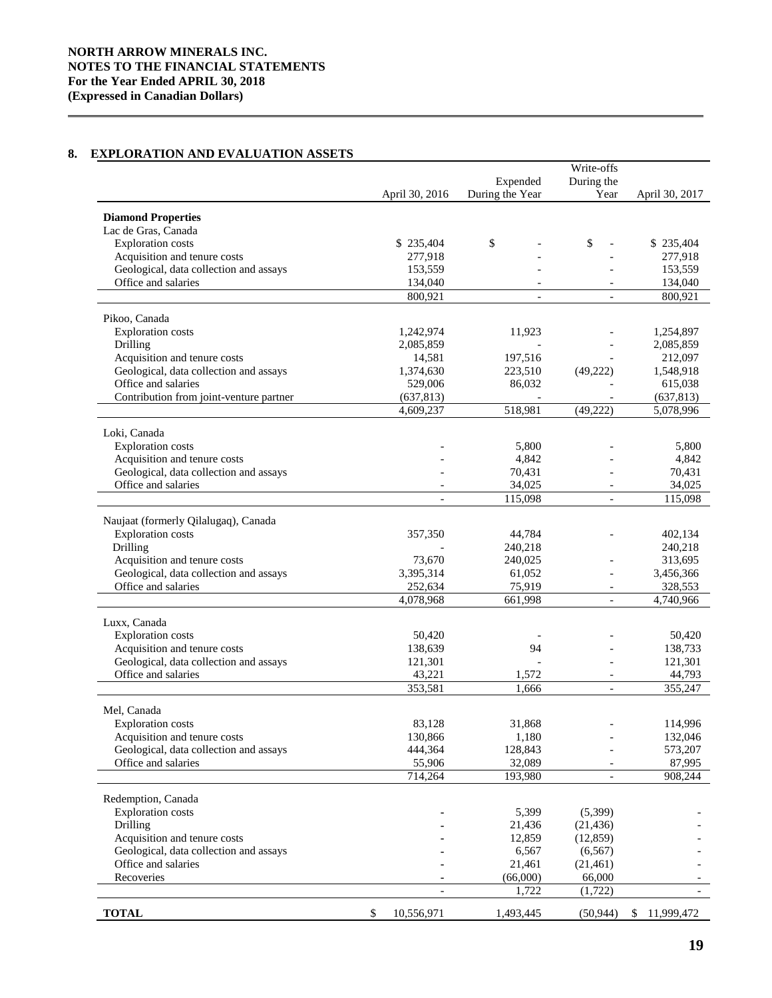# **8. EXPLORATION AND EVALUATION ASSETS**

|                                         |                          |                 | Write-offs               |                  |
|-----------------------------------------|--------------------------|-----------------|--------------------------|------------------|
|                                         |                          | Expended        | During the               |                  |
|                                         | April 30, 2016           | During the Year | Year                     | April 30, 2017   |
| <b>Diamond Properties</b>               |                          |                 |                          |                  |
| Lac de Gras, Canada                     |                          |                 |                          |                  |
| <b>Exploration</b> costs                | \$235,404                | \$              | \$                       | \$235,404        |
| Acquisition and tenure costs            | 277,918                  |                 |                          | 277,918          |
| Geological, data collection and assays  | 153,559                  |                 |                          | 153,559          |
| Office and salaries                     | 134,040                  |                 |                          | 134,040          |
|                                         | 800,921                  | $\overline{a}$  |                          | 800,921          |
|                                         |                          |                 |                          |                  |
| Pikoo, Canada                           |                          |                 |                          |                  |
| <b>Exploration</b> costs                | 1,242,974                | 11,923          |                          | 1,254,897        |
| Drilling                                | 2,085,859                |                 |                          | 2,085,859        |
| Acquisition and tenure costs            | 14,581                   | 197,516         |                          | 212,097          |
| Geological, data collection and assays  | 1,374,630                | 223,510         | (49,222)                 | 1,548,918        |
| Office and salaries                     | 529,006                  | 86,032          |                          | 615,038          |
| Contribution from joint-venture partner | (637, 813)               |                 |                          | (637, 813)       |
|                                         | 4,609,237                | 518,981         | (49, 222)                | 5,078,996        |
|                                         |                          |                 |                          |                  |
| Loki, Canada                            |                          |                 |                          |                  |
| <b>Exploration</b> costs                |                          | 5,800           |                          | 5,800            |
| Acquisition and tenure costs            |                          | 4,842           |                          | 4,842            |
| Geological, data collection and assays  |                          | 70,431          |                          | 70,431           |
| Office and salaries                     |                          | 34,025          |                          | 34,025           |
|                                         | $\blacksquare$           | 115,098         | $\overline{\phantom{a}}$ | 115,098          |
| Naujaat (formerly Qilalugaq), Canada    |                          |                 |                          |                  |
| <b>Exploration costs</b>                | 357,350                  | 44,784          |                          | 402,134          |
| Drilling                                |                          | 240,218         |                          | 240,218          |
| Acquisition and tenure costs            | 73,670                   | 240,025         |                          | 313,695          |
| Geological, data collection and assays  | 3,395,314                | 61,052          |                          | 3,456,366        |
| Office and salaries                     | 252,634                  | 75,919          |                          | 328,553          |
|                                         | 4,078,968                | 661,998         |                          | 4,740,966        |
|                                         |                          |                 |                          |                  |
| Luxx, Canada                            |                          |                 |                          |                  |
| <b>Exploration</b> costs                | 50,420                   |                 |                          | 50,420           |
| Acquisition and tenure costs            | 138,639                  | 94              |                          | 138,733          |
| Geological, data collection and assays  | 121,301                  |                 |                          | 121,301          |
| Office and salaries                     | 43,221                   | 1,572           |                          | 44,793           |
|                                         | 353,581                  | 1,666           | $\overline{\phantom{a}}$ | 355,247          |
|                                         |                          |                 |                          |                  |
| Mel, Canada                             |                          |                 |                          |                  |
| <b>Exploration costs</b>                | 83,128                   | 31,868          |                          | 114,996          |
| Acquisition and tenure costs            | 130,866                  | 1,180           |                          | 132,046          |
| Geological, data collection and assays  | 444,364                  | 128,843         |                          | 573,207          |
| Office and salaries                     | 55,906                   | 32,089          |                          | 87,995           |
|                                         | 714,264                  | 193,980         | $\blacksquare$           | 908,244          |
| Redemption, Canada                      |                          |                 |                          |                  |
| <b>Exploration</b> costs                |                          | 5,399           | (5,399)                  |                  |
| Drilling                                |                          | 21,436          | (21, 436)                |                  |
| Acquisition and tenure costs            |                          | 12,859          | (12, 859)                |                  |
| Geological, data collection and assays  |                          | 6,567           | (6, 567)                 |                  |
| Office and salaries                     |                          | 21,461          | (21, 461)                |                  |
| Recoveries                              |                          | (66,000)        | 66,000                   |                  |
|                                         | $\overline{\phantom{a}}$ | 1,722           | (1,722)                  |                  |
|                                         |                          |                 |                          |                  |
| <b>TOTAL</b>                            | \$<br>10,556,971         | 1,493,445       | (50, 944)                | 11,999,472<br>\$ |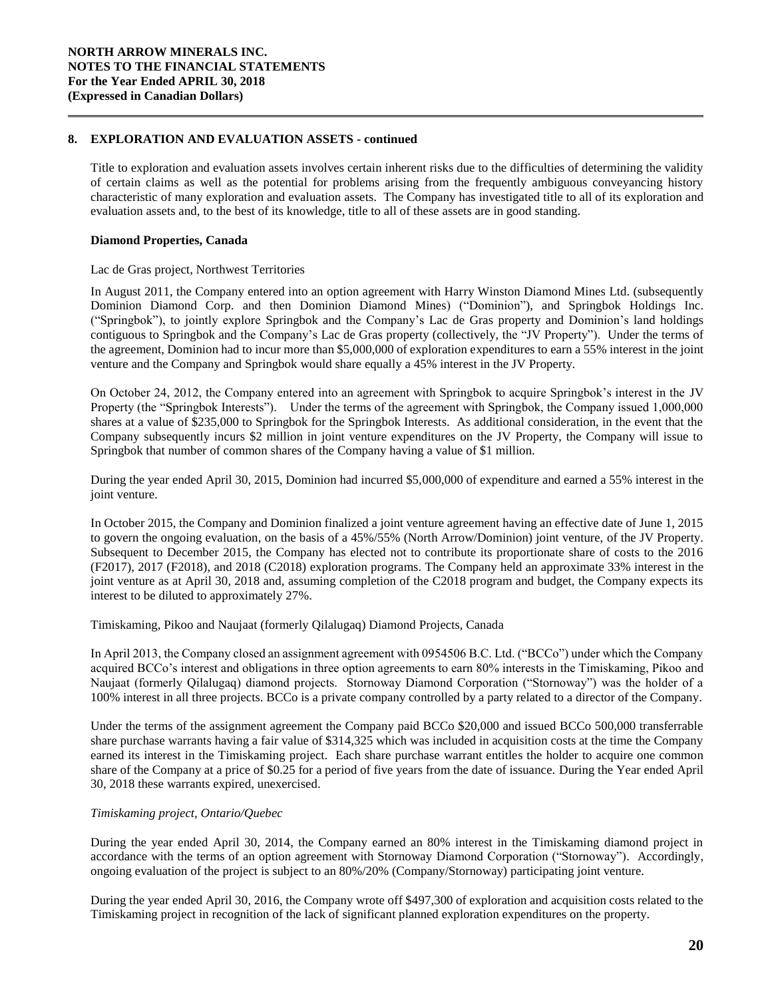Title to exploration and evaluation assets involves certain inherent risks due to the difficulties of determining the validity of certain claims as well as the potential for problems arising from the frequently ambiguous conveyancing history characteristic of many exploration and evaluation assets. The Company has investigated title to all of its exploration and evaluation assets and, to the best of its knowledge, title to all of these assets are in good standing.

# **Diamond Properties, Canada**

## Lac de Gras project, Northwest Territories

In August 2011, the Company entered into an option agreement with Harry Winston Diamond Mines Ltd. (subsequently Dominion Diamond Corp. and then Dominion Diamond Mines) ("Dominion"), and Springbok Holdings Inc. ("Springbok"), to jointly explore Springbok and the Company's Lac de Gras property and Dominion's land holdings contiguous to Springbok and the Company's Lac de Gras property (collectively, the "JV Property"). Under the terms of the agreement, Dominion had to incur more than \$5,000,000 of exploration expenditures to earn a 55% interest in the joint venture and the Company and Springbok would share equally a 45% interest in the JV Property.

On October 24, 2012, the Company entered into an agreement with Springbok to acquire Springbok's interest in the JV Property (the "Springbok Interests"). Under the terms of the agreement with Springbok, the Company issued 1,000,000 shares at a value of \$235,000 to Springbok for the Springbok Interests. As additional consideration, in the event that the Company subsequently incurs \$2 million in joint venture expenditures on the JV Property, the Company will issue to Springbok that number of common shares of the Company having a value of \$1 million.

During the year ended April 30, 2015, Dominion had incurred \$5,000,000 of expenditure and earned a 55% interest in the joint venture.

In October 2015, the Company and Dominion finalized a joint venture agreement having an effective date of June 1, 2015 to govern the ongoing evaluation, on the basis of a 45%/55% (North Arrow/Dominion) joint venture, of the JV Property. Subsequent to December 2015, the Company has elected not to contribute its proportionate share of costs to the 2016 (F2017), 2017 (F2018), and 2018 (C2018) exploration programs. The Company held an approximate 33% interest in the joint venture as at April 30, 2018 and, assuming completion of the C2018 program and budget, the Company expects its interest to be diluted to approximately 27%.

Timiskaming, Pikoo and Naujaat (formerly Qilalugaq) Diamond Projects, Canada

In April 2013, the Company closed an assignment agreement with 0954506 B.C. Ltd. ("BCCo") under which the Company acquired BCCo's interest and obligations in three option agreements to earn 80% interests in the Timiskaming, Pikoo and Naujaat (formerly Qilalugaq) diamond projects. Stornoway Diamond Corporation ("Stornoway") was the holder of a 100% interest in all three projects. BCCo is a private company controlled by a party related to a director of the Company.

Under the terms of the assignment agreement the Company paid BCCo \$20,000 and issued BCCo 500,000 transferrable share purchase warrants having a fair value of \$314,325 which was included in acquisition costs at the time the Company earned its interest in the Timiskaming project. Each share purchase warrant entitles the holder to acquire one common share of the Company at a price of \$0.25 for a period of five years from the date of issuance. During the Year ended April 30, 2018 these warrants expired, unexercised.

## *Timiskaming project, Ontario/Quebec*

During the year ended April 30, 2014, the Company earned an 80% interest in the Timiskaming diamond project in accordance with the terms of an option agreement with Stornoway Diamond Corporation ("Stornoway"). Accordingly, ongoing evaluation of the project is subject to an 80%/20% (Company/Stornoway) participating joint venture.

During the year ended April 30, 2016, the Company wrote off \$497,300 of exploration and acquisition costs related to the Timiskaming project in recognition of the lack of significant planned exploration expenditures on the property.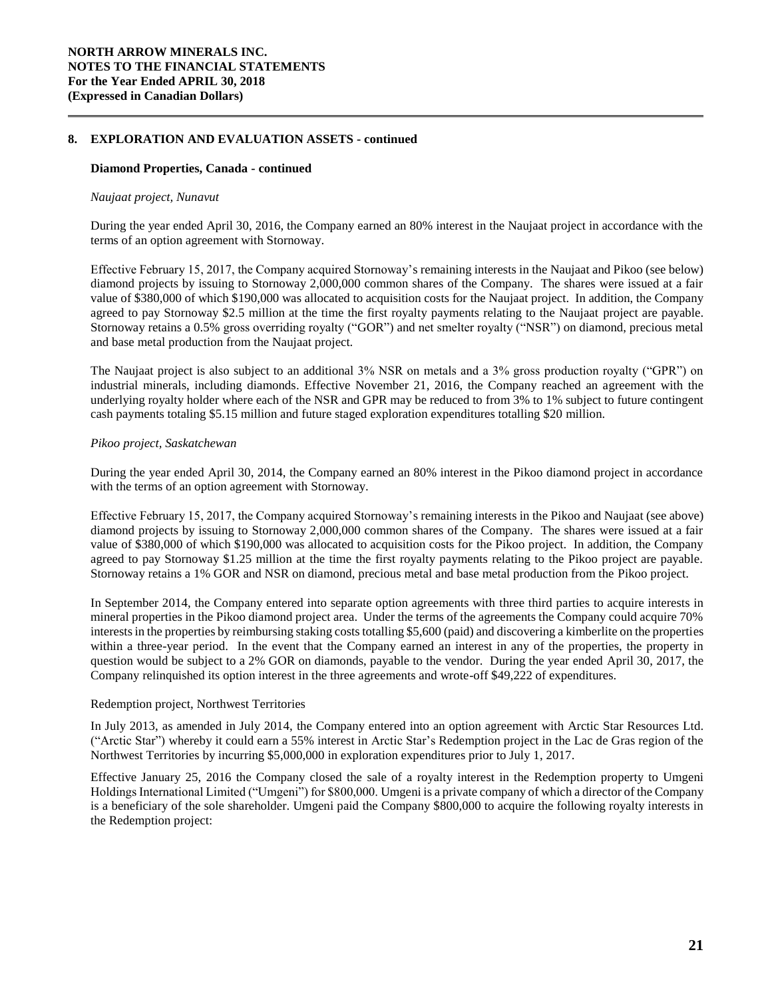# **Diamond Properties, Canada - continued**

#### *Naujaat project, Nunavut*

During the year ended April 30, 2016, the Company earned an 80% interest in the Naujaat project in accordance with the terms of an option agreement with Stornoway.

Effective February 15, 2017, the Company acquired Stornoway's remaining interests in the Naujaat and Pikoo (see below) diamond projects by issuing to Stornoway 2,000,000 common shares of the Company. The shares were issued at a fair value of \$380,000 of which \$190,000 was allocated to acquisition costs for the Naujaat project. In addition, the Company agreed to pay Stornoway \$2.5 million at the time the first royalty payments relating to the Naujaat project are payable. Stornoway retains a 0.5% gross overriding royalty ("GOR") and net smelter royalty ("NSR") on diamond, precious metal and base metal production from the Naujaat project.

The Naujaat project is also subject to an additional 3% NSR on metals and a 3% gross production royalty ("GPR") on industrial minerals, including diamonds. Effective November 21, 2016, the Company reached an agreement with the underlying royalty holder where each of the NSR and GPR may be reduced to from 3% to 1% subject to future contingent cash payments totaling \$5.15 million and future staged exploration expenditures totalling \$20 million.

# *Pikoo project, Saskatchewan*

During the year ended April 30, 2014, the Company earned an 80% interest in the Pikoo diamond project in accordance with the terms of an option agreement with Stornoway.

Effective February 15, 2017, the Company acquired Stornoway's remaining interests in the Pikoo and Naujaat (see above) diamond projects by issuing to Stornoway 2,000,000 common shares of the Company. The shares were issued at a fair value of \$380,000 of which \$190,000 was allocated to acquisition costs for the Pikoo project. In addition, the Company agreed to pay Stornoway \$1.25 million at the time the first royalty payments relating to the Pikoo project are payable. Stornoway retains a 1% GOR and NSR on diamond, precious metal and base metal production from the Pikoo project.

In September 2014, the Company entered into separate option agreements with three third parties to acquire interests in mineral properties in the Pikoo diamond project area. Under the terms of the agreements the Company could acquire 70% interests in the properties by reimbursing staking costs totalling \$5,600 (paid) and discovering a kimberlite on the properties within a three-year period. In the event that the Company earned an interest in any of the properties, the property in question would be subject to a 2% GOR on diamonds, payable to the vendor. During the year ended April 30, 2017, the Company relinquished its option interest in the three agreements and wrote-off \$49,222 of expenditures.

#### Redemption project, Northwest Territories

In July 2013, as amended in July 2014, the Company entered into an option agreement with Arctic Star Resources Ltd. ("Arctic Star") whereby it could earn a 55% interest in Arctic Star's Redemption project in the Lac de Gras region of the Northwest Territories by incurring \$5,000,000 in exploration expenditures prior to July 1, 2017.

Effective January 25, 2016 the Company closed the sale of a royalty interest in the Redemption property to Umgeni Holdings International Limited ("Umgeni") for \$800,000. Umgeni is a private company of which a director of the Company is a beneficiary of the sole shareholder. Umgeni paid the Company \$800,000 to acquire the following royalty interests in the Redemption project: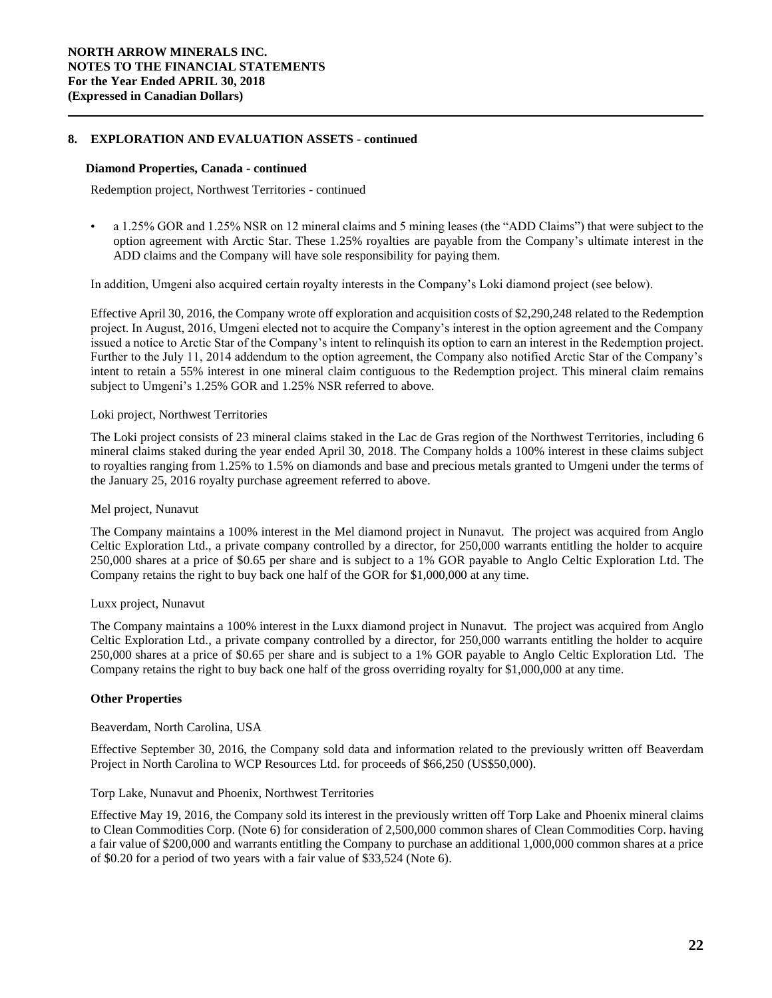#### **Diamond Properties, Canada - continued**

Redemption project, Northwest Territories - continued

• a 1.25% GOR and 1.25% NSR on 12 mineral claims and 5 mining leases (the "ADD Claims") that were subject to the option agreement with Arctic Star. These 1.25% royalties are payable from the Company's ultimate interest in the ADD claims and the Company will have sole responsibility for paying them.

In addition, Umgeni also acquired certain royalty interests in the Company's Loki diamond project (see below).

Effective April 30, 2016, the Company wrote off exploration and acquisition costs of \$2,290,248 related to the Redemption project. In August, 2016, Umgeni elected not to acquire the Company's interest in the option agreement and the Company issued a notice to Arctic Star of the Company's intent to relinquish its option to earn an interest in the Redemption project. Further to the July 11, 2014 addendum to the option agreement, the Company also notified Arctic Star of the Company's intent to retain a 55% interest in one mineral claim contiguous to the Redemption project. This mineral claim remains subject to Umgeni's 1.25% GOR and 1.25% NSR referred to above.

#### Loki project, Northwest Territories

The Loki project consists of 23 mineral claims staked in the Lac de Gras region of the Northwest Territories, including 6 mineral claims staked during the year ended April 30, 2018. The Company holds a 100% interest in these claims subject to royalties ranging from 1.25% to 1.5% on diamonds and base and precious metals granted to Umgeni under the terms of the January 25, 2016 royalty purchase agreement referred to above.

## Mel project, Nunavut

The Company maintains a 100% interest in the Mel diamond project in Nunavut. The project was acquired from Anglo Celtic Exploration Ltd., a private company controlled by a director, for 250,000 warrants entitling the holder to acquire 250,000 shares at a price of \$0.65 per share and is subject to a 1% GOR payable to Anglo Celtic Exploration Ltd. The Company retains the right to buy back one half of the GOR for \$1,000,000 at any time.

# Luxx project, Nunavut

The Company maintains a 100% interest in the Luxx diamond project in Nunavut. The project was acquired from Anglo Celtic Exploration Ltd., a private company controlled by a director, for 250,000 warrants entitling the holder to acquire 250,000 shares at a price of \$0.65 per share and is subject to a 1% GOR payable to Anglo Celtic Exploration Ltd. The Company retains the right to buy back one half of the gross overriding royalty for \$1,000,000 at any time.

# **Other Properties**

## Beaverdam, North Carolina, USA

Effective September 30, 2016, the Company sold data and information related to the previously written off Beaverdam Project in North Carolina to WCP Resources Ltd. for proceeds of \$66,250 (US\$50,000).

# Torp Lake, Nunavut and Phoenix, Northwest Territories

Effective May 19, 2016, the Company sold its interest in the previously written off Torp Lake and Phoenix mineral claims to Clean Commodities Corp. (Note 6) for consideration of 2,500,000 common shares of Clean Commodities Corp. having a fair value of \$200,000 and warrants entitling the Company to purchase an additional 1,000,000 common shares at a price of \$0.20 for a period of two years with a fair value of \$33,524 (Note 6).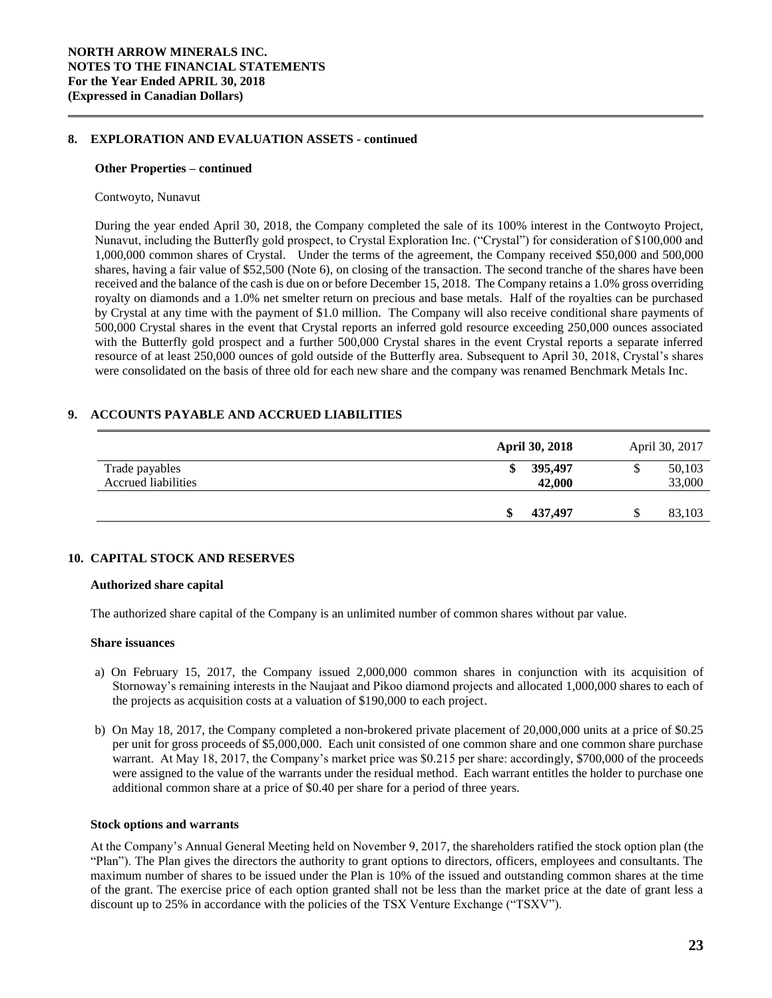#### **Other Properties – continued**

#### Contwoyto, Nunavut

During the year ended April 30, 2018, the Company completed the sale of its 100% interest in the Contwoyto Project, Nunavut, including the Butterfly gold prospect, to Crystal Exploration Inc. ("Crystal") for consideration of \$100,000 and 1,000,000 common shares of Crystal. Under the terms of the agreement, the Company received \$50,000 and 500,000 shares, having a fair value of \$52,500 (Note 6), on closing of the transaction. The second tranche of the shares have been received and the balance of the cash is due on or before December 15, 2018. The Company retains a 1.0% gross overriding royalty on diamonds and a 1.0% net smelter return on precious and base metals. Half of the royalties can be purchased by Crystal at any time with the payment of \$1.0 million. The Company will also receive conditional share payments of 500,000 Crystal shares in the event that Crystal reports an inferred gold resource exceeding 250,000 ounces associated with the Butterfly gold prospect and a further 500,000 Crystal shares in the event Crystal reports a separate inferred resource of at least 250,000 ounces of gold outside of the Butterfly area. Subsequent to April 30, 2018, Crystal's shares were consolidated on the basis of three old for each new share and the company was renamed Benchmark Metals Inc.

# **9. ACCOUNTS PAYABLE AND ACCRUED LIABILITIES**

|                            | <b>April 30, 2018</b> | April 30, 2017 |
|----------------------------|-----------------------|----------------|
| Trade payables             | 395,497<br>\$         | 50,103<br>\$   |
| <b>Accrued liabilities</b> | 42,000                | 33,000         |
|                            | \$<br>437,497         | 83,103<br>\$   |

# **10. CAPITAL STOCK AND RESERVES**

## **Authorized share capital**

The authorized share capital of the Company is an unlimited number of common shares without par value.

### **Share issuances**

- a) On February 15, 2017, the Company issued 2,000,000 common shares in conjunction with its acquisition of Stornoway's remaining interests in the Naujaat and Pikoo diamond projects and allocated 1,000,000 shares to each of the projects as acquisition costs at a valuation of \$190,000 to each project.
- b) On May 18, 2017, the Company completed a non-brokered private placement of 20,000,000 units at a price of \$0.25 per unit for gross proceeds of \$5,000,000. Each unit consisted of one common share and one common share purchase warrant. At May 18, 2017, the Company's market price was \$0.215 per share: accordingly, \$700,000 of the proceeds were assigned to the value of the warrants under the residual method. Each warrant entitles the holder to purchase one additional common share at a price of \$0.40 per share for a period of three years.

#### **Stock options and warrants**

At the Company's Annual General Meeting held on November 9, 2017, the shareholders ratified the stock option plan (the "Plan"). The Plan gives the directors the authority to grant options to directors, officers, employees and consultants. The maximum number of shares to be issued under the Plan is 10% of the issued and outstanding common shares at the time of the grant. The exercise price of each option granted shall not be less than the market price at the date of grant less a discount up to 25% in accordance with the policies of the TSX Venture Exchange ("TSXV").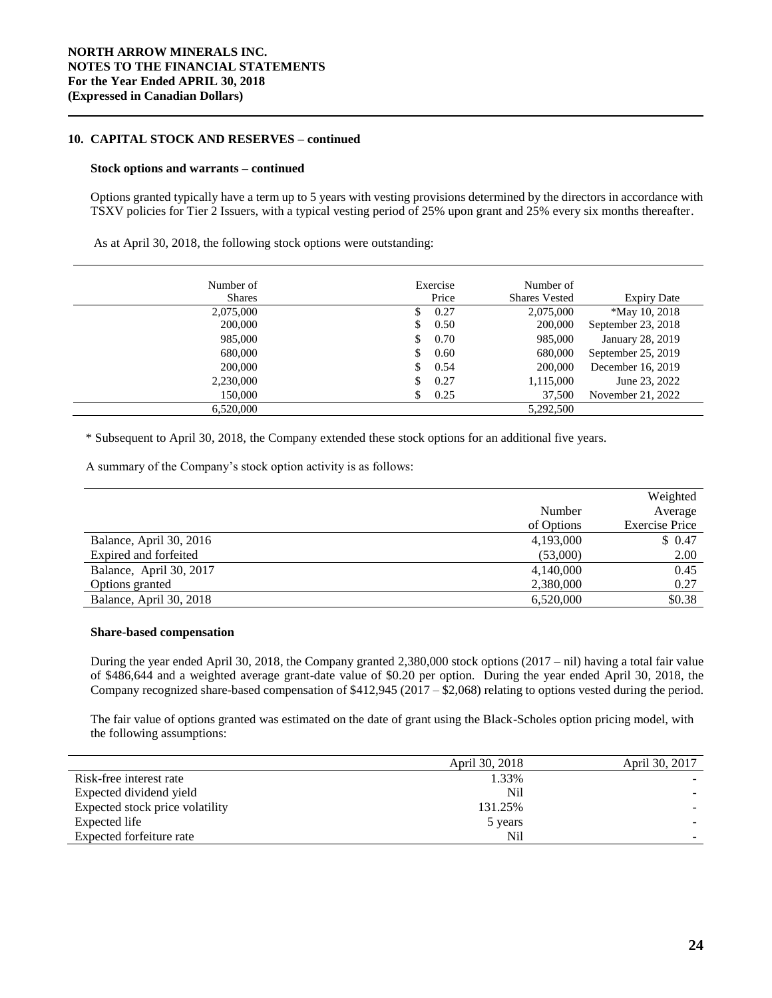# **10. CAPITAL STOCK AND RESERVES – continued**

#### **Stock options and warrants – continued**

Options granted typically have a term up to 5 years with vesting provisions determined by the directors in accordance with TSXV policies for Tier 2 Issuers, with a typical vesting period of 25% upon grant and 25% every six months thereafter.

As at April 30, 2018, the following stock options were outstanding:

| Number of     | Exercise   | Number of            |                      |
|---------------|------------|----------------------|----------------------|
| <b>Shares</b> | Price      | <b>Shares Vested</b> | <b>Expiry Date</b>   |
| 2,075,000     | 0.27<br>S. | 2,075,000            | <i>*May 10, 2018</i> |
| 200,000       | 0.50<br>S. | 200,000              | September 23, 2018   |
| 985,000       | 0.70<br>S. | 985,000              | January 28, 2019     |
| 680,000       | 0.60<br>S. | 680,000              | September 25, 2019   |
| 200,000       | 0.54       | 200,000              | December 16, 2019    |
| 2,230,000     | 0.27<br>\$ | 1,115,000            | June 23, 2022        |
| 150,000       | 0.25       | 37,500               | November 21, 2022    |
| 6,520,000     |            | 5.292.500            |                      |

\* Subsequent to April 30, 2018, the Company extended these stock options for an additional five years.

A summary of the Company's stock option activity is as follows:

|                         |            | Weighted              |
|-------------------------|------------|-----------------------|
|                         | Number     | Average               |
|                         | of Options | <b>Exercise Price</b> |
| Balance, April 30, 2016 | 4,193,000  | \$0.47                |
| Expired and forfeited   | (53,000)   | 2.00                  |
| Balance, April 30, 2017 | 4,140,000  | 0.45                  |
| Options granted         | 2,380,000  | 0.27                  |
| Balance, April 30, 2018 | 6,520,000  | \$0.38                |

# **Share-based compensation**

During the year ended April 30, 2018, the Company granted 2,380,000 stock options (2017 – nil) having a total fair value of \$486,644 and a weighted average grant-date value of \$0.20 per option. During the year ended April 30, 2018, the Company recognized share-based compensation of \$412,945 (2017 – \$2,068) relating to options vested during the period.

The fair value of options granted was estimated on the date of grant using the Black-Scholes option pricing model, with the following assumptions:

|                                 | April 30, 2018 | April 30, 2017 |
|---------------------------------|----------------|----------------|
| Risk-free interest rate         | 1.33%          |                |
| Expected dividend yield         | Nil            |                |
| Expected stock price volatility | 131.25%        |                |
| Expected life                   | 5 years        |                |
| Expected forfeiture rate        | Nil            |                |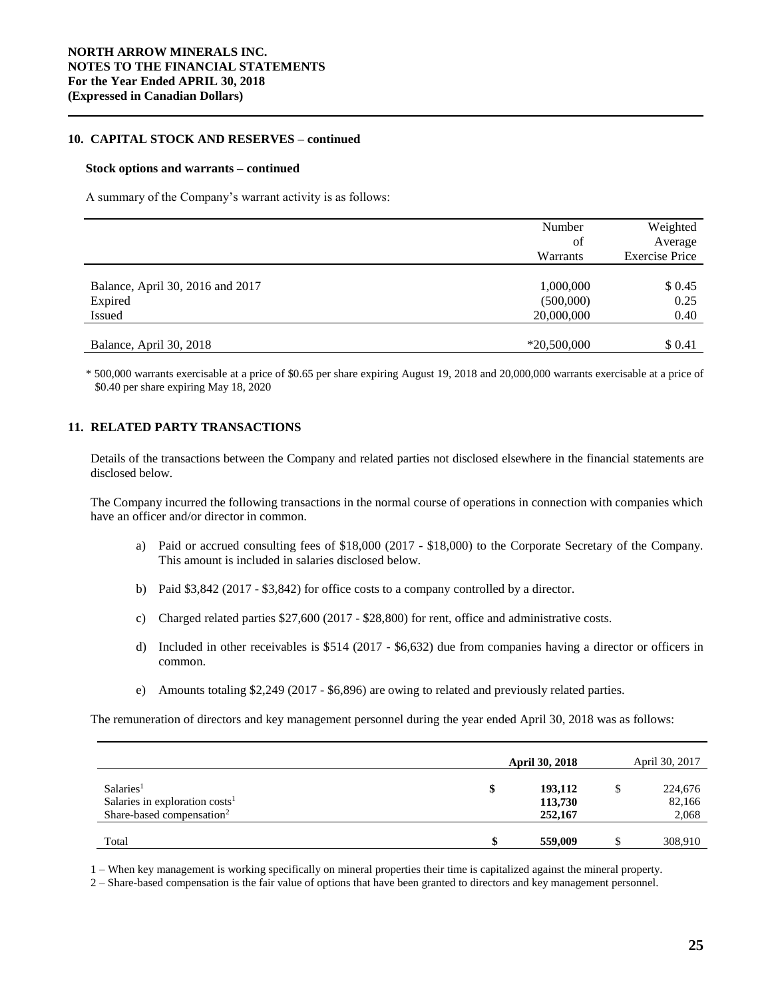# **10. CAPITAL STOCK AND RESERVES – continued**

#### **Stock options and warrants – continued**

A summary of the Company's warrant activity is as follows:

| Number                 | Weighted<br>Average               |
|------------------------|-----------------------------------|
| Warrants               | <b>Exercise Price</b>             |
| 1,000,000<br>(500,000) | \$0.45<br>0.25                    |
|                        | 0.40<br>\$ 0.41                   |
|                        | of<br>20,000,000<br>$*20,500,000$ |

\* 500,000 warrants exercisable at a price of \$0.65 per share expiring August 19, 2018 and 20,000,000 warrants exercisable at a price of \$0.40 per share expiring May 18, 2020

# **11. RELATED PARTY TRANSACTIONS**

Details of the transactions between the Company and related parties not disclosed elsewhere in the financial statements are disclosed below.

The Company incurred the following transactions in the normal course of operations in connection with companies which have an officer and/or director in common.

- a) Paid or accrued consulting fees of \$18,000 (2017 \$18,000) to the Corporate Secretary of the Company. This amount is included in salaries disclosed below.
- b) Paid \$3,842 (2017 \$3,842) for office costs to a company controlled by a director.
- c) Charged related parties \$27,600 (2017 \$28,800) for rent, office and administrative costs.
- d) Included in other receivables is \$514 (2017 \$6,632) due from companies having a director or officers in common.
- e) Amounts totaling \$2,249 (2017 \$6,896) are owing to related and previously related parties.

The remuneration of directors and key management personnel during the year ended April 30, 2018 was as follows:

|                                                                                     | <b>April 30, 2018</b> | April 30, 2017  |
|-------------------------------------------------------------------------------------|-----------------------|-----------------|
| Salaries <sup>1</sup>                                                               | \$<br>193,112         | 224,676         |
| Salaries in exploration costs <sup>1</sup><br>Share-based compensation <sup>2</sup> | 113,730<br>252,167    | 82,166<br>2,068 |
| Total                                                                               | 559,009               | 308,910         |

1 – When key management is working specifically on mineral properties their time is capitalized against the mineral property.

2 – Share-based compensation is the fair value of options that have been granted to directors and key management personnel.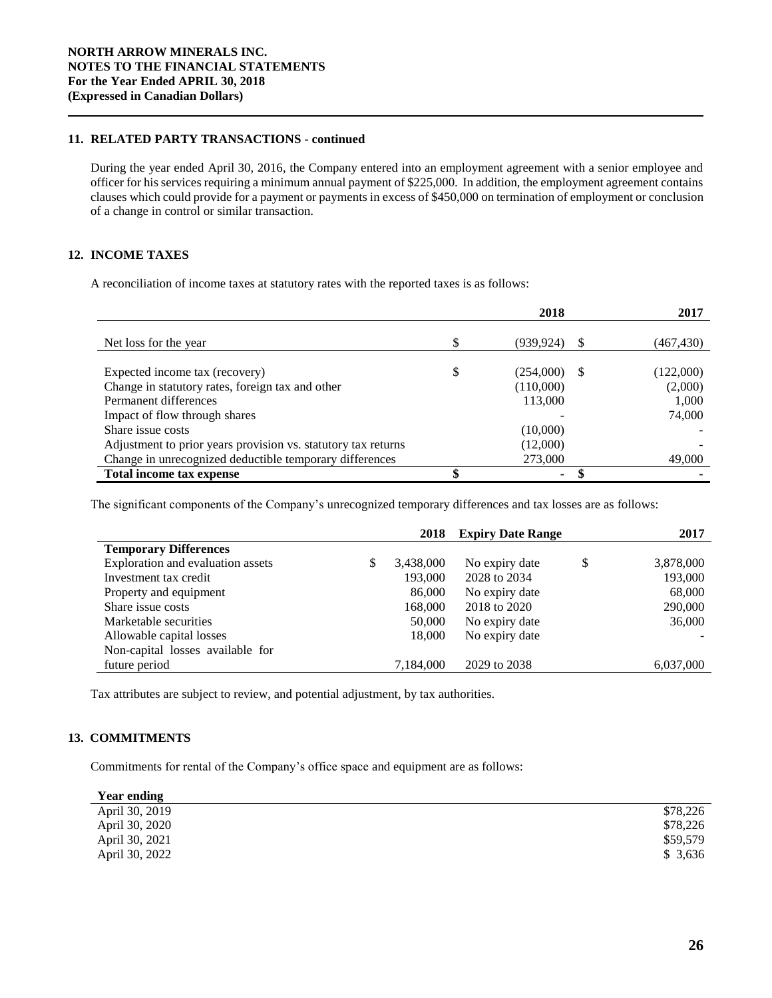# **11. RELATED PARTY TRANSACTIONS - continued**

During the year ended April 30, 2016, the Company entered into an employment agreement with a senior employee and officer for his services requiring a minimum annual payment of \$225,000. In addition, the employment agreement contains clauses which could provide for a payment or payments in excess of \$450,000 on termination of employment or conclusion of a change in control or similar transaction.

# **12. INCOME TAXES**

A reconciliation of income taxes at statutory rates with the reported taxes is as follows:

|                                                               | 2018            | 2017       |
|---------------------------------------------------------------|-----------------|------------|
|                                                               |                 |            |
| Net loss for the year                                         | (939, 924)      | (467, 430) |
|                                                               |                 |            |
| Expected income tax (recovery)                                | \$<br>(254,000) | (122,000)  |
| Change in statutory rates, foreign tax and other              | (110,000)       | (2,000)    |
| Permanent differences                                         | 113,000         | 1,000      |
| Impact of flow through shares                                 |                 | 74,000     |
| Share issue costs                                             | (10,000)        |            |
| Adjustment to prior years provision vs. statutory tax returns | (12,000)        |            |
| Change in unrecognized deductible temporary differences       | 273,000         | 49,000     |
| Total income tax expense                                      | ۰.              |            |

The significant components of the Company's unrecognized temporary differences and tax losses are as follows:

|                                   | 2018            | <b>Expiry Date Range</b> | 2017            |
|-----------------------------------|-----------------|--------------------------|-----------------|
| <b>Temporary Differences</b>      |                 |                          |                 |
| Exploration and evaluation assets | \$<br>3,438,000 | No expiry date           | \$<br>3,878,000 |
| Investment tax credit             | 193,000         | 2028 to 2034             | 193,000         |
| Property and equipment            | 86,000          | No expiry date           | 68,000          |
| Share issue costs                 | 168,000         | 2018 to 2020             | 290,000         |
| Marketable securities             | 50,000          | No expiry date           | 36,000          |
| Allowable capital losses          | 18,000          | No expiry date           |                 |
| Non-capital losses available for  |                 |                          |                 |
| future period                     | 7,184,000       | 2029 to 2038             | 6,037,000       |

Tax attributes are subject to review, and potential adjustment, by tax authorities.

# **13. COMMITMENTS**

Commitments for rental of the Company's office space and equipment are as follows:

| <b>Year ending</b> |          |
|--------------------|----------|
| April 30, 2019     | \$78,226 |
| April 30, 2020     | \$78,226 |
| April 30, 2021     | \$59,579 |
| April 30, 2022     | \$3.636  |